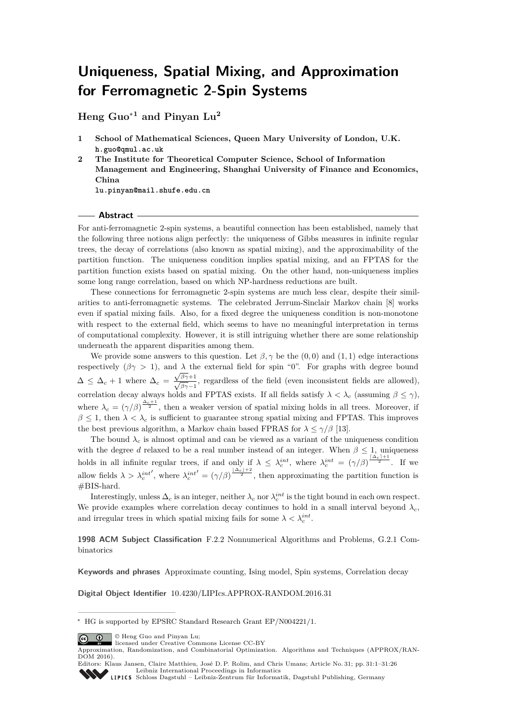# **Uniqueness, Spatial Mixing, and Approximation for Ferromagnetic 2-Spin Systems**

**Heng Guo**<sup>∗</sup>**<sup>1</sup> and Pinyan Lu<sup>2</sup>**

**2 The Institute for Theoretical Computer Science, School of Information Management and Engineering, Shanghai University of Finance and Economics, China**

**lu.pinyan@mail.shufe.edu.cn**

#### **Abstract**

For anti-ferromagnetic 2-spin systems, a beautiful connection has been established, namely that the following three notions align perfectly: the uniqueness of Gibbs measures in infinite regular trees, the decay of correlations (also known as spatial mixing), and the approximability of the partition function. The uniqueness condition implies spatial mixing, and an FPTAS for the partition function exists based on spatial mixing. On the other hand, non-uniqueness implies some long range correlation, based on which NP-hardness reductions are built.

These connections for ferromagnetic 2-spin systems are much less clear, despite their similarities to anti-ferromagnetic systems. The celebrated Jerrum-Sinclair Markov chain [\[8\]](#page-24-0) works even if spatial mixing fails. Also, for a fixed degree the uniqueness condition is non-monotone with respect to the external field, which seems to have no meaningful interpretation in terms of computational complexity. However, it is still intriguing whether there are some relationship underneath the apparent disparities among them.

We provide some answers to this question. Let  $\beta, \gamma$  be the (0,0) and (1,1) edge interactions respectively  $(\beta \gamma > 1)$ , and  $\lambda$  the external field for spin "0". For graphs with degree bound  $\Delta \leq \Delta_c + 1$  where  $\Delta_c =$  $\frac{\sqrt{\beta\gamma+1}}{\sqrt{\beta\gamma-1}}$ , regardless of the field (even inconsistent fields are allowed), correlation decay always holds and FPTAS exists. If all fields satisfy  $\lambda < \lambda_c$  (assuming  $\beta \leq \gamma$ ), where  $\lambda_c = (\gamma/\beta)^{\frac{\Delta_c+1}{2}}$ , then a weaker version of spatial mixing holds in all trees. Moreover, if  $\beta \leq 1$ , then  $\lambda < \lambda_c$  is sufficient to guarantee strong spatial mixing and FPTAS. This improves the best previous algorithm, a Markov chain based FPRAS for  $\lambda \leq \gamma/\beta$  [\[13\]](#page-25-0).

The bound  $\lambda_c$  is almost optimal and can be viewed as a variant of the uniqueness condition with the degree *d* relaxed to be a real number instead of an integer. When  $\beta \leq 1$ , uniqueness holds in all infinite regular trees, if and only if  $\lambda \leq \lambda_c^{int}$ , where  $\lambda_c^{int} = (\gamma/\beta)^{\frac{[\Delta_c]+1}{2}}$ . If we allow fields  $\lambda > \lambda_c^{int'}$ , where  $\lambda_c^{int'} = (\gamma/\beta)^{\frac{|\Delta_c|+2}{2}}$ , then approximating the partition function is #BIS-hard.

Interestingly, unless  $\Delta_c$  is an integer, neither  $\lambda_c$  nor  $\lambda_c^{int}$  is the tight bound in each own respect. We provide examples where correlation decay continues to hold in a small interval beyond  $\lambda_c$ and irregular trees in which spatial mixing fails for some  $\lambda < \lambda_c^{int}$ .

**1998 ACM Subject Classification** F.2.2 Nonnumerical Algorithms and Problems, G.2.1 Combinatorics

**Keywords and phrases** Approximate counting, Ising model, Spin systems, Correlation decay

**Digital Object Identifier** [10.4230/LIPIcs.APPROX-RANDOM.2016.31](http://dx.doi.org/10.4230/LIPIcs.APPROX-RANDOM.2016.31)

© Heng Guo and Pinyan Lu;



Approximation, Randomization, and Combinatorial Optimization. Algorithms and Techniques (APPROX/RAN-DOM 2016).

**<sup>1</sup> School of Mathematical Sciences, Queen Mary University of London, U.K. h.guo@qmul.ac.uk**

<sup>∗</sup> HG is supported by EPSRC Standard Research Grant EP/N004221/1.

Editors: Klaus Jansen, Claire Matthieu, José D. P. Rolim, and Chris Umans; Article No. 31; pp. 31:1–31[:26](#page-25-1) [Leibniz International Proceedings in Informatics](http://www.dagstuhl.de/lipics/)

[Schloss Dagstuhl – Leibniz-Zentrum für Informatik, Dagstuhl Publishing, Germany](http://www.dagstuhl.de)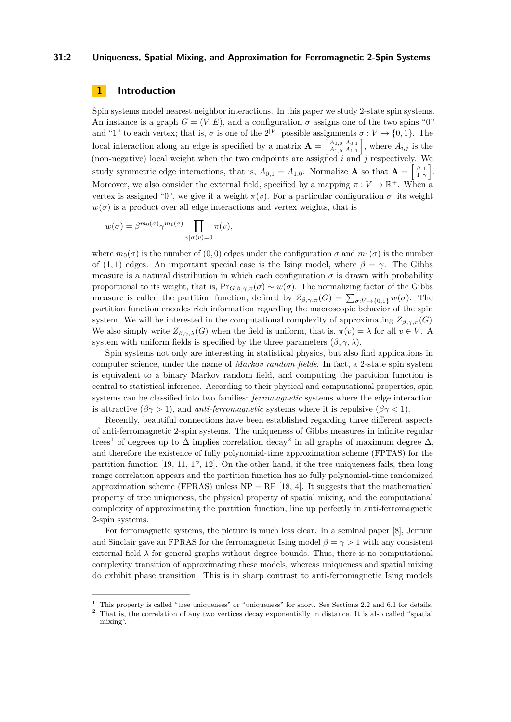#### **31:2 Uniqueness, Spatial Mixing, and Approximation for Ferromagnetic 2-Spin Systems**

# **1 Introduction**

Spin systems model nearest neighbor interactions. In this paper we study 2-state spin systems. An instance is a graph  $G = (V, E)$ , and a configuration  $\sigma$  assigns one of the two spins "0" and "1" to each vertex; that is,  $\sigma$  is one of the  $2^{|V|}$  possible assignments  $\sigma: V \to \{0, 1\}$ . The local interaction along an edge is specified by a matrix  $\mathbf{A} = \begin{bmatrix} A_{0,0} & A_{0,1} \\ A_{1,0} & A_{1,1} \end{bmatrix}$  $A_{0,0}^{A_{0,0} A_{0,1}}$ , where  $A_{i,j}$  is the (non-negative) local weight when the two endpoints are assigned *i* and *j* respectively. We study symmetric edge interactions, that is,  $A_{0,1} = A_{1,0}$ . Normalize **A** so that  $\mathbf{A} = \begin{bmatrix} \beta & 1 \\ 1 & \gamma \end{bmatrix}$ . Moreover, we also consider the external field, specified by a mapping  $\pi : V \to \mathbb{R}^+$ . When a vertex is assigned "0", we give it a weight  $\pi(v)$ . For a particular configuration  $\sigma$ , its weight  $w(\sigma)$  is a product over all edge interactions and vertex weights, that is

$$
w(\sigma) = \beta^{m_0(\sigma)} \gamma^{m_1(\sigma)} \prod_{v | \sigma(v) = 0} \pi(v),
$$

where  $m_0(\sigma)$  is the number of  $(0,0)$  edges under the configuration  $\sigma$  and  $m_1(\sigma)$  is the number of (1, 1) edges. An important special case is the Ising model, where  $\beta = \gamma$ . The Gibbs measure is a natural distribution in which each configuration  $\sigma$  is drawn with probability proportional to its weight, that is,  $Pr_{G:\beta,\gamma,\pi}(\sigma) \sim w(\sigma)$ . The normalizing factor of the Gibbs measure is called the partition function, defined by  $Z_{\beta,\gamma,\pi}(G) = \sum_{\sigma: V \to \{0,1\}} w(\sigma)$ . The partition function encodes rich information regarding the macroscopic behavior of the spin system. We will be interested in the computational complexity of approximating  $Z_{\beta,\gamma,\pi}(G)$ . We also simply write  $Z_{\beta,\gamma,\lambda}(G)$  when the field is uniform, that is,  $\pi(v) = \lambda$  for all  $v \in V$ . A system with uniform fields is specified by the three parameters  $(\beta, \gamma, \lambda)$ .

Spin systems not only are interesting in statistical physics, but also find applications in computer science, under the name of *Markov random fields*. In fact, a 2-state spin system is equivalent to a binary Markov random field, and computing the partition function is central to statistical inference. According to their physical and computational properties, spin systems can be classified into two families: *ferromagnetic* systems where the edge interaction is attractive  $(\beta \gamma > 1)$ , and *anti-ferromagnetic* systems where it is repulsive  $(\beta \gamma < 1)$ .

Recently, beautiful connections have been established regarding three different aspects of anti-ferromagnetic 2-spin systems. The uniqueness of Gibbs measures in infinite regular trees<sup>[1](#page-1-0)</sup> of degrees up to  $\Delta$  implies correlation decay<sup>[2](#page-1-1)</sup> in all graphs of maximum degree  $\Delta$ , and therefore the existence of fully polynomial-time approximation scheme (FPTAS) for the partition function [\[19,](#page-25-2) [11,](#page-25-3) [17,](#page-25-4) [12\]](#page-25-5). On the other hand, if the tree uniqueness fails, then long range correlation appears and the partition function has no fully polynomial-time randomized approximation scheme (FPRAS) unless  $NP = RP$  [\[18,](#page-25-6) [4\]](#page-24-1). It suggests that the mathematical property of tree uniqueness, the physical property of spatial mixing, and the computational complexity of approximating the partition function, line up perfectly in anti-ferromagnetic 2-spin systems.

For ferromagnetic systems, the picture is much less clear. In a seminal paper [\[8\]](#page-24-0), Jerrum and Sinclair gave an FPRAS for the ferromagnetic Ising model  $\beta = \gamma > 1$  with any consistent external field  $\lambda$  for general graphs without degree bounds. Thus, there is no computational complexity transition of approximating these models, whereas uniqueness and spatial mixing do exhibit phase transition. This is in sharp contrast to anti-ferromagnetic Ising models

<span id="page-1-0"></span><sup>&</sup>lt;sup>1</sup> This property is called "tree uniqueness" or "uniqueness" for short. See Sections [2.2](#page-6-0) and [6.1](#page-16-0) for details.

<span id="page-1-1"></span><sup>2</sup> That is, the correlation of any two vertices decay exponentially in distance. It is also called "spatial mixing".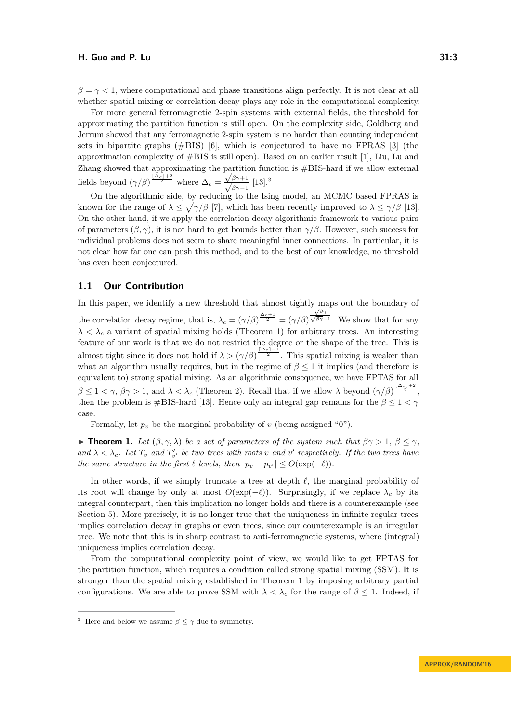$\beta = \gamma < 1$ , where computational and phase transitions align perfectly. It is not clear at all whether spatial mixing or correlation decay plays any role in the computational complexity.

For more general ferromagnetic 2-spin systems with external fields, the threshold for approximating the partition function is still open. On the complexity side, Goldberg and Jerrum showed that any ferromagnetic 2-spin system is no harder than counting independent sets in bipartite graphs (#BIS) [\[6\]](#page-24-2), which is conjectured to have no FPRAS [\[3\]](#page-24-3) (the approximation complexity of #BIS is still open). Based on an earlier result [\[1\]](#page-24-4), Liu, Lu and Zhang showed that approximating the partition function is  $\#BIS$ -hard if we allow external fields beyond  $(\gamma/\beta)^{\frac{|\Delta_c|+2}{2}}$  where  $\Delta_c = \frac{\sqrt{\beta\gamma+1}}{\sqrt{\beta\gamma-1}}$  [\[13\]](#page-25-0).<sup>[3](#page-2-0)</sup>

On the algorithmic side, by reducing to the Ising model, an MCMC based FPRAS is known for the range of  $\lambda \leq \sqrt{\gamma/\beta}$  [\[7\]](#page-24-5), which has been recently improved to  $\lambda \leq \gamma/\beta$  [\[13\]](#page-25-0). On the other hand, if we apply the correlation decay algorithmic framework to various pairs of parameters  $(\beta, \gamma)$ , it is not hard to get bounds better than  $\gamma/\beta$ . However, such success for individual problems does not seem to share meaningful inner connections. In particular, it is not clear how far one can push this method, and to the best of our knowledge, no threshold has even been conjectured.

# **1.1 Our Contribution**

In this paper, we identify a new threshold that almost tightly maps out the boundary of the correlation decay regime, that is,  $\lambda_c = (\gamma/\beta)^{\frac{\Delta_c+1}{2}} = (\gamma/\beta)$ <sup>√</sup>*βγ*  $\frac{\sqrt{\beta\gamma}}{\sqrt{\beta\gamma}-1}$ . We show that for any  $\lambda < \lambda_c$  a variant of spatial mixing holds (Theorem [1\)](#page-2-1) for arbitrary trees. An interesting feature of our work is that we do not restrict the degree or the shape of the tree. This is almost tight since it does not hold if  $\lambda > (\gamma/\beta)^{\frac{\lceil \Delta_c \rceil + 1}{2}}$ . This spatial mixing is weaker than what an algorithm usually requires, but in the regime of  $\beta \leq 1$  it implies (and therefore is equivalent to) strong spatial mixing. As an algorithmic consequence, we have FPTAS for all  $\beta \leq 1 < \gamma, \beta\gamma > 1$ , and  $\lambda < \lambda_c$  (Theorem [2\)](#page-3-0). Recall that if we allow  $\lambda$  beyond  $(\gamma/\beta)^{\frac{|\Delta_c|+2}{2}}$ , then the problem is #BIS-hard [\[13\]](#page-25-0). Hence only an integral gap remains for the  $\beta \leq 1 < \gamma$ case.

Formally, let  $p_v$  be the marginal probability of *v* (being assigned "0").

<span id="page-2-1"></span>**► Theorem 1.** Let  $(β, γ, λ)$  be a set of parameters of the system such that  $βγ > 1, β ≤ γ$ *and*  $\lambda < \lambda_c$ . Let  $T_v$  *and*  $T'_{v'}$  be two trees with roots v *and* v' respectively. If the two trees have *the same structure in the first*  $\ell$  *levels, then*  $|p_v - p_{v'}| \leq O(\exp(-\ell)).$ 

In other words, if we simply truncate a tree at depth  $\ell$ , the marginal probability of its root will change by only at most  $O(\exp(-\ell))$ . Surprisingly, if we replace  $\lambda_c$  by its integral counterpart, then this implication no longer holds and there is a counterexample (see Section [5\)](#page-15-0). More precisely, it is no longer true that the uniqueness in infinite regular trees implies correlation decay in graphs or even trees, since our counterexample is an irregular tree. We note that this is in sharp contrast to anti-ferromagnetic systems, where (integral) uniqueness implies correlation decay.

From the computational complexity point of view, we would like to get FPTAS for the partition function, which requires a condition called strong spatial mixing (SSM). It is stronger than the spatial mixing established in Theorem [1](#page-2-1) by imposing arbitrary partial configurations. We are able to prove SSM with  $\lambda < \lambda_c$  for the range of  $\beta \leq 1$ . Indeed, if

<span id="page-2-0"></span><sup>&</sup>lt;sup>3</sup> Here and below we assume  $\beta \leq \gamma$  due to symmetry.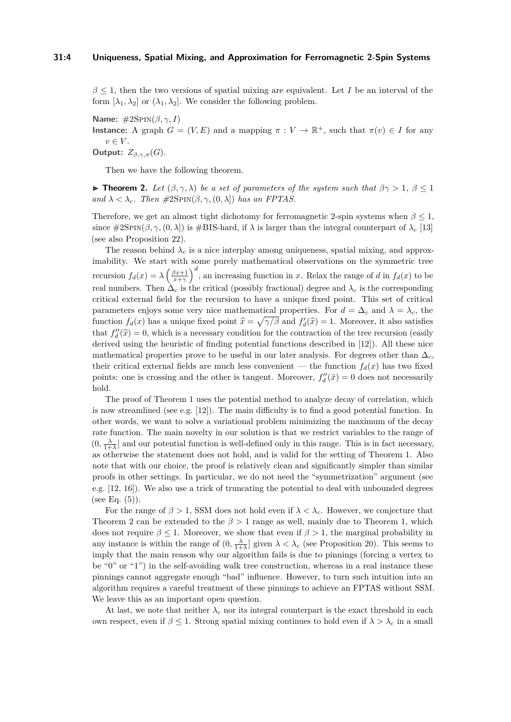$\beta \leq 1$ , then the two versions of spatial mixing are equivalent. Let *I* be an interval of the form  $[\lambda_1, \lambda_2]$  or  $(\lambda_1, \lambda_2]$ . We consider the following problem.

**Name:** #2Spin(*β, γ, I*) **Instance:** A graph  $G = (V, E)$  and a mapping  $\pi : V \to \mathbb{R}^+$ , such that  $\pi(v) \in I$  for any  $v \in V$ .

**Output:**  $Z_{\beta,\gamma,\pi}(G)$ .

Then we have the following theorem.

<span id="page-3-0"></span>**Theorem 2.** *Let*  $(\beta, \gamma, \lambda)$  *be a set of parameters of the system such that*  $\beta\gamma > 1$ ,  $\beta \leq 1$  $and \lambda < \lambda_c$ *. Then*  $\#2\text{SPIN}(\beta, \gamma, (0, \lambda))$  *has an FPTAS.* 

Therefore, we get an almost tight dichotomy for ferromagnetic 2-spin systems when  $\beta$  < 1, since  $\#2\text{SPIN}(\beta, \gamma, (0, \lambda))$  is  $\#BIS$ -hard, if  $\lambda$  is larger than the integral counterpart of  $\lambda_c$  [\[13\]](#page-25-0) (see also Proposition [22\)](#page-15-1).

The reason behind  $\lambda_c$  is a nice interplay among uniqueness, spatial mixing, and approximability. We start with some purely mathematical observations on the symmetric tree recursion  $f_d(x) = \lambda \left(\frac{\beta x+1}{x+\gamma}\right)^d$ , an increasing function in *x*. Relax the range of *d* in  $f_d(x)$  to be real numbers. Then  $\Delta_c$  is the critical (possibly fractional) degree and  $\lambda_c$  is the corresponding critical external field for the recursion to have a unique fixed point. This set of critical parameters enjoys some very nice mathematical properties. For  $d = \Delta_c$  and  $\lambda = \lambda_c$ , the function  $f_d(x)$  has a unique fixed point  $\hat{x} = \sqrt{\gamma/\beta}$  and  $f'_d(\hat{x}) = 1$ . Moreover, it also satisfies that  $f''_d(\hat{x}) = 0$ , which is a necessary condition for the contraction of the tree recursion (easily dening the houristic of finding netertial functions described in [19]). All these pieces derived using the heuristic of finding potential functions described in [\[12\]](#page-25-5)). All these nice mathematical properties prove to be useful in our later analysis. For degrees other than  $\Delta_c$ , their critical external fields are much less convenient — the function  $f_d(x)$  has two fixed points: one is crossing and the other is tangent. Moreover,  $f''_d(\hat{x}) = 0$  does not necessarily hold.

The proof of Theorem [1](#page-2-1) uses the potential method to analyze decay of correlation, which is now streamlined (see e.g.  $[12]$ ). The main difficulty is to find a good potential function. In other words, we want to solve a variational problem minimizing the maximum of the decay rate function. The main novelty in our solution is that we restrict variables to the range of  $(0, \frac{\lambda}{1+\lambda}]$  and our potential function is well-defined only in this range. This is in fact necessary, as otherwise the statement does not hold, and is valid for the setting of Theorem [1.](#page-2-1) Also note that with our choice, the proof is relatively clean and significantly simpler than similar proofs in other settings. In particular, we do not need the "symmetrization" argument (see e.g. [\[12,](#page-25-5) [16\]](#page-25-7)). We also use a trick of truncating the potential to deal with unbounded degrees (see Eq.  $(5)$ ).

For the range of  $\beta > 1$ , SSM does not hold even if  $\lambda < \lambda_c$ . However, we conjecture that Theorem [2](#page-3-0) can be extended to the *β >* 1 range as well, mainly due to Theorem [1,](#page-2-1) which does not require  $\beta \leq 1$ . Moreover, we show that even if  $\beta > 1$ , the marginal probability in any instance is within the range of  $(0, \frac{\lambda}{1+\lambda}]$  given  $\lambda < \lambda_c$  (see Proposition [20\)](#page-12-0). This seems to imply that the main reason why our algorithm fails is due to pinnings (forcing a vertex to be "0" or "1") in the self-avoiding walk tree construction, whereas in a real instance these pinnings cannot aggregate enough "bad" influence. However, to turn such intuition into an algorithm requires a careful treatment of these pinnings to achieve an FPTAS without SSM. We leave this as an important open question.

At last, we note that neither  $\lambda_c$  nor its integral counterpart is the exact threshold in each own respect, even if  $\beta \leq 1$ . Strong spatial mixing continues to hold even if  $\lambda > \lambda_c$  in a small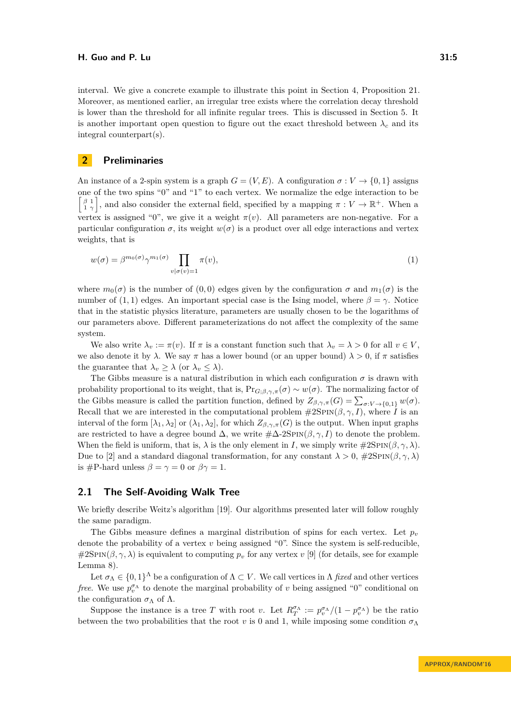interval. We give a concrete example to illustrate this point in Section [4,](#page-13-0) Proposition [21.](#page-14-0) Moreover, as mentioned earlier, an irregular tree exists where the correlation decay threshold is lower than the threshold for all infinite regular trees. This is discussed in Section [5.](#page-15-0) It is another important open question to figure out the exact threshold between  $\lambda_c$  and its integral counterpart(s).

## **2 Preliminaries**

An instance of a 2-spin system is a graph  $G = (V, E)$ . A configuration  $\sigma : V \to \{0, 1\}$  assigns one of the two spins "0" and "1" to each vertex. We normalize the edge interaction to be  $\begin{bmatrix} \beta & 1 \\ 1 & \gamma \end{bmatrix}$ , and also consider the external field, specified by a mapping  $\pi : V \to \mathbb{R}^+$ . When a vertex is assigned "0", we give it a weight  $\pi(v)$ . All parameters are non-negative. For a particular configuration  $\sigma$ , its weight  $w(\sigma)$  is a product over all edge interactions and vertex weights, that is

<span id="page-4-0"></span>
$$
w(\sigma) = \beta^{m_0(\sigma)} \gamma^{m_1(\sigma)} \prod_{v | \sigma(v) = 1} \pi(v), \tag{1}
$$

where  $m_0(\sigma)$  is the number of (0,0) edges given by the configuration  $\sigma$  and  $m_1(\sigma)$  is the number of  $(1, 1)$  edges. An important special case is the Ising model, where  $\beta = \gamma$ . Notice that in the statistic physics literature, parameters are usually chosen to be the logarithms of our parameters above. Different parameterizations do not affect the complexity of the same system.

We also write  $\lambda_v := \pi(v)$ . If  $\pi$  is a constant function such that  $\lambda_v = \lambda > 0$  for all  $v \in V$ , we also denote it by  $\lambda$ . We say  $\pi$  has a lower bound (or an upper bound)  $\lambda > 0$ , if  $\pi$  satisfies the guarantee that  $\lambda_v \geq \lambda$  (or  $\lambda_v \leq \lambda$ ).

The Gibbs measure is a natural distribution in which each configuration  $\sigma$  is drawn with probability proportional to its weight, that is,  $Pr_{G;\beta,\gamma,\pi}(\sigma) \sim w(\sigma)$ . The normalizing factor of the Gibbs measure is called the partition function, defined by  $Z_{\beta,\gamma,\pi}(G) = \sum_{\sigma: V \to \{0,1\}} w(\sigma)$ . Recall that we are interested in the computational problem  $\#2\text{SPIN}(\beta, \gamma, I)$ , where *I* is an interval of the form  $[\lambda_1, \lambda_2]$  or  $(\lambda_1, \lambda_2]$ , for which  $Z_{\beta,\gamma,\pi}(G)$  is the output. When input graphs are restricted to have a degree bound  $\Delta$ , we write  $\#\Delta$ -2SPIN( $\beta$ ,  $\gamma$ , I) to denote the problem. When the field is uniform, that is,  $\lambda$  is the only element in *I*, we simply write  $\#\text{2SPIN}(\beta, \gamma, \lambda)$ . Due to [\[2\]](#page-24-6) and a standard diagonal transformation, for any constant  $\lambda > 0$ ,  $\#2\text{SPIN}(\beta, \gamma, \lambda)$ is #P-hard unless  $\beta = \gamma = 0$  or  $\beta \gamma = 1$ .

# **2.1 The Self-Avoiding Walk Tree**

We briefly describe Weitz's algorithm [\[19\]](#page-25-2). Our algorithms presented later will follow roughly the same paradigm.

The Gibbs measure defines a marginal distribution of spins for each vertex. Let  $p<sub>v</sub>$ denote the probability of a vertex *v* being assigned "0". Since the system is self-reducible,  $\#2SPIN(\beta, \gamma, \lambda)$  is equivalent to computing  $p_v$  for any vertex *v* [\[9\]](#page-25-8) (for details, see for example Lemma [8\)](#page-7-0).

Let  $\sigma_{\Lambda} \in \{0,1\}^{\Lambda}$  be a configuration of  $\Lambda \subset V$ . We call vertices in  $\Lambda$  *fixed* and other vertices *free.* We use  $p_v^{\sigma_A}$  to denote the marginal probability of *v* being assigned "0" conditional on the configuration  $\sigma_{\Lambda}$  of  $\Lambda$ .

Suppose the instance is a tree *T* with root *v*. Let  $R_T^{\sigma_{\Lambda}} := p_v^{\sigma_{\Lambda}}/(1 - p_v^{\sigma_{\Lambda}})$  be the ratio between the two probabilities that the root *v* is 0 and 1, while imposing some condition  $\sigma_{\Lambda}$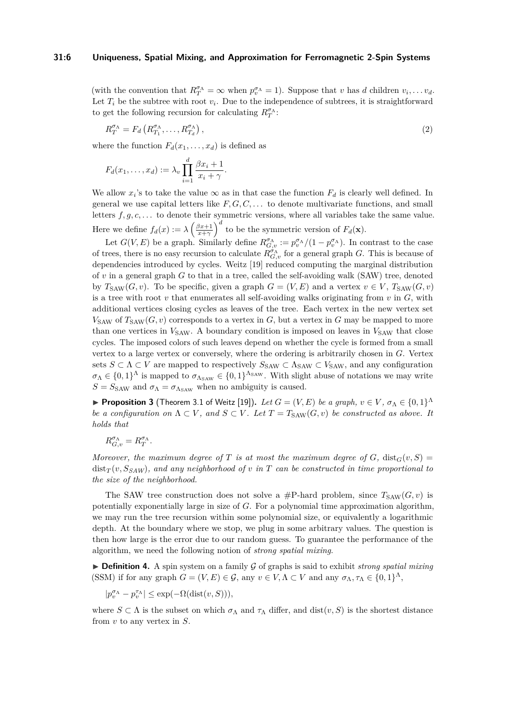#### **31:6 Uniqueness, Spatial Mixing, and Approximation for Ferromagnetic 2-Spin Systems**

(with the convention that  $R_T^{\sigma_{\Lambda}} = \infty$  when  $p_v^{\sigma_{\Lambda}} = 1$ ). Suppose that *v* has *d* children  $v_i, \ldots v_d$ . Let  $T_i$  be the subtree with root  $v_i$ . Due to the independence of subtrees, it is straightforward to get the following recursion for calculating  $R_T^{\sigma_{\Lambda}}$ :

<span id="page-5-0"></span>
$$
R_T^{\sigma_{\Lambda}} = F_d \left( R_{T_1}^{\sigma_{\Lambda}}, \dots, R_{T_d}^{\sigma_{\Lambda}} \right), \tag{2}
$$

where the function  $F_d(x_1, \ldots, x_d)$  is defined as

$$
F_d(x_1,\ldots,x_d):=\lambda_v\prod_{i=1}^d\frac{\beta x_i+1}{x_i+\gamma}.
$$

We allow  $x_i$ 's to take the value  $\infty$  as in that case the function  $F_d$  is clearly well defined. In general we use capital letters like  $F, G, C, \ldots$  to denote multivariate functions, and small letters  $f, g, c, \ldots$  to denote their symmetric versions, where all variables take the same value. Here we define  $f_d(x) := \lambda \left(\frac{\beta x + 1}{x + \gamma}\right)^d$  to be the symmetric version of  $F_d(\mathbf{x})$ .

Let  $G(V, E)$  be a graph. Similarly define  $R_{G,v}^{\sigma_{\Lambda}} := p_v^{\sigma_{\Lambda}}/(1 - p_v^{\sigma_{\Lambda}})$ . In contrast to the case of trees, there is no easy recursion to calculate  $R_{G,v}^{\sigma_{\Lambda}}$  for a general graph *G*. This is because of dependencies introduced by cycles. Weitz [\[19\]](#page-25-2) reduced computing the marginal distribution of *v* in a general graph *G* to that in a tree, called the self-avoiding walk (SAW) tree, denoted by  $T_{SAW}(G, v)$ . To be specific, given a graph  $G = (V, E)$  and a vertex  $v \in V$ ,  $T_{SAW}(G, v)$ is a tree with root  $v$  that enumerates all self-avoiding walks originating from  $v$  in  $G$ , with additional vertices closing cycles as leaves of the tree. Each vertex in the new vertex set  $V_{SAW}$  of  $T_{SAW}(G, v)$  corresponds to a vertex in  $G$ , but a vertex in  $G$  may be mapped to more than one vertices in  $V_{SAW}$ . A boundary condition is imposed on leaves in  $V_{SAW}$  that close cycles. The imposed colors of such leaves depend on whether the cycle is formed from a small vertex to a large vertex or conversely, where the ordering is arbitrarily chosen in *G*. Vertex sets  $S \subset \Lambda \subset V$  are mapped to respectively  $S_{SAW} \subset \Lambda_{SAW} \subset V_{SAW}$ , and any configuration  $\sigma_{\Lambda} \in \{0,1\}^{\Lambda}$  is mapped to  $\sigma_{\Lambda_{SAW}} \in \{0,1\}^{\Lambda_{SAW}}$ . With slight abuse of notations we may write  $S = S_{\text{SAW}}$  and  $\sigma_{\Lambda} = \sigma_{\Lambda_{\text{SAW}}}$  when no ambiguity is caused.

<span id="page-5-2"></span>**Proposition 3** (Theorem 3.1 of Weitz [\[19\]](#page-25-2)). Let  $G = (V, E)$  be a graph,  $v \in V$ ,  $\sigma_{\Lambda} \in \{0, 1\}^{\Lambda}$ *be a configuration on*  $\Lambda \subset V$ , and  $S \subset V$ . Let  $T = T_{SAW}(G, v)$  be constructed as above. It *holds that*

$$
R_{G,v}^{\sigma_{\Lambda}} = R_T^{\sigma_{\Lambda}}.
$$

*Moreover, the maximum degree of T is at most the maximum degree of G,* dist<sub>*G*</sub>(*v, S*) =  $dist_T(v, S_{SAW})$ , and any neighborhood of *v* in *T* can be constructed in time proportional to *the size of the neighborhood.*

The SAW tree construction does not solve a #P-hard problem, since  $T_{SAW}(G, v)$  is potentially exponentially large in size of *G*. For a polynomial time approximation algorithm, we may run the tree recursion within some polynomial size, or equivalently a logarithmic depth. At the boundary where we stop, we plug in some arbitrary values. The question is then how large is the error due to our random guess. To guarantee the performance of the algorithm, we need the following notion of *strong spatial mixing*.

<span id="page-5-1"></span> $\triangleright$  **Definition 4.** A spin system on a family G of graphs is said to exhibit *strong spatial mixing* (SSM) if for any graph  $G = (V, E) \in \mathcal{G}$ , any  $v \in V, \Lambda \subset V$  and any  $\sigma_{\Lambda}, \tau_{\Lambda} \in \{0, 1\}^{\Lambda}$ ,

$$
|p^{\sigma_\Lambda}_v-p^{\tau_\Lambda}_v|\leq \exp(-\Omega({\rm dist}(v,S))),
$$

where  $S \subset \Lambda$  is the subset on which  $\sigma_{\Lambda}$  and  $\tau_{\Lambda}$  differ, and dist $(v, S)$  is the shortest distance from *v* to any vertex in *S*.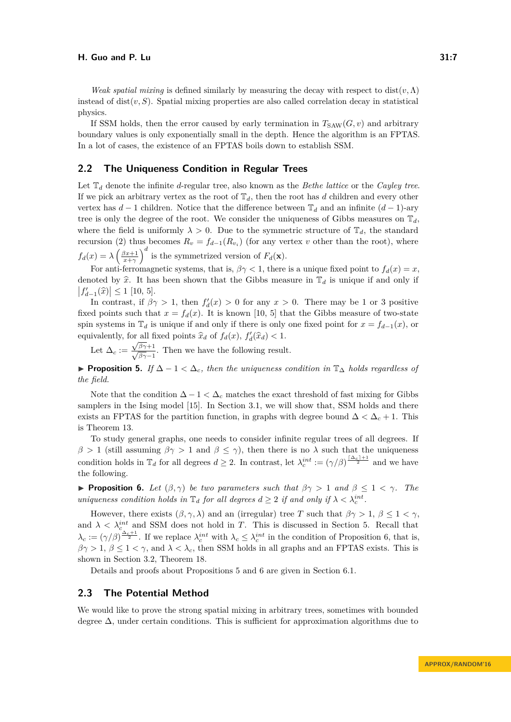*Weak spatial mixing* is defined similarly by measuring the decay with respect to dist $(v, \Lambda)$ instead of  $dist(v, S)$ . Spatial mixing properties are also called correlation decay in statistical physics.

If SSM holds, then the error caused by early termination in  $T_{SAW}(G, v)$  and arbitrary boundary values is only exponentially small in the depth. Hence the algorithm is an FPTAS. In a lot of cases, the existence of an FPTAS boils down to establish SSM.

## <span id="page-6-0"></span>**2.2 The Uniqueness Condition in Regular Trees**

Let T*<sup>d</sup>* denote the infinite *d*-regular tree, also known as the *Bethe lattice* or the *Cayley tree*. If we pick an arbitrary vertex as the root of  $\mathbb{T}_d$ , then the root has *d* children and every other vertex has  $d-1$  children. Notice that the difference between  $\mathbb{T}_d$  and an infinite  $(d-1)$ -ary tree is only the degree of the root. We consider the uniqueness of Gibbs measures on  $\mathbb{T}_d$ , where the field is uniformly  $\lambda > 0$ . Due to the symmetric structure of  $\mathbb{T}_d$ , the standard recursion [\(2\)](#page-5-0) thus becomes  $R_v = f_{d-1}(R_{v_i})$  (for any vertex *v* other than the root), where  $f_d(x) = \lambda \left(\frac{\beta x + 1}{x + \gamma}\right)^d$  is the symmetrized version of  $F_d(\mathbf{x})$ .

For anti-ferromagnetic systems, that is,  $\beta \gamma < 1$ , there is a unique fixed point to  $f_d(x) = x$ , denoted by  $\hat{x}$ . It has been shown that the Gibbs measure in  $\mathbb{T}_d$  is unique if and only if  $|f'_{d-1}(\hat{x})| \le 1$  [\[10,](#page-25-9) [5\]](#page-24-7).

In contrast, if  $\beta \gamma > 1$ , then  $f'_d(x) > 0$  for any  $x > 0$ . There may be 1 or 3 positive fixed points such that  $x = f_d(x)$ . It is known [\[10,](#page-25-9) [5\]](#page-24-7) that the Gibbs measure of two-state spin systems in  $\mathbb{T}_d$  is unique if and only if there is only one fixed point for  $x = f_{d-1}(x)$ , or equivalently, for all fixed points  $\hat{x}_d$  of  $f_d(x)$ ,  $f'_d(\hat{x}_d) < 1$ .

Let  $\Delta_c := \frac{\sqrt{\beta \gamma + 1}}{\sqrt{\beta \gamma - 1}}$ . Then we have the following result.

<span id="page-6-2"></span>**► Proposition 5.** *If*  $\Delta - 1 < \Delta_c$ *, then the uniqueness condition in*  $\mathbb{T}_{\Delta}$  *holds regardless of the field.*

Note that the condition  $\Delta - 1 < \Delta_c$  matches the exact threshold of fast mixing for Gibbs samplers in the Ising model [\[15\]](#page-25-10). In Section [3.1,](#page-8-0) we will show that, SSM holds and there exists an FPTAS for the partition function, in graphs with degree bound  $\Delta < \Delta_c + 1$ . This is Theorem [13.](#page-8-1)

To study general graphs, one needs to consider infinite regular trees of all degrees. If *β* > 1 (still assuming *β* $\gamma$  > 1 and *β*  $\leq \gamma$ ), then there is no *λ* such that the uniqueness condition holds in  $\mathbb{T}_d$  for all degrees  $d \geq 2$ . In contrast, let  $\lambda_c^{int} := (\gamma/\beta)^{\frac{\lceil \Delta_c \rceil + 1}{2}}$  and we have the following.

<span id="page-6-1"></span>**Proposition 6.** *Let*  $(\beta, \gamma)$  *be two parameters such that*  $\beta\gamma > 1$  *and*  $\beta \leq 1 < \gamma$ *. The uniqueness condition holds in*  $\mathbb{T}_d$  *for all degrees*  $d \geq 2$  *if and only if*  $\lambda < \lambda_c^{int}$ .

However, there exists  $(\beta, \gamma, \lambda)$  and an (irregular) tree *T* such that  $\beta\gamma > 1$ ,  $\beta \leq 1 < \gamma$ , and  $\lambda < \lambda_c^{int}$  and SSM does not hold in *T*. This is discussed in Section [5.](#page-15-0) Recall that  $\lambda_c := (\gamma/\beta)^{\frac{\Delta_c+1}{2}}$ . If we replace  $\lambda_c^{int}$  with  $\lambda_c \leq \lambda_c^{int}$  in the condition of Proposition [6,](#page-6-1) that is,  $\beta\gamma > 1, \beta \leq 1 < \gamma$ , and  $\lambda < \lambda_c$ , then SSM holds in all graphs and an FPTAS exists. This is shown in Section [3.2,](#page-9-0) Theorem [18.](#page-10-1)

Details and proofs about Propositions [5](#page-6-2) and [6](#page-6-1) are given in Section [6.1.](#page-16-0)

## <span id="page-6-3"></span>**2.3 The Potential Method**

We would like to prove the strong spatial mixing in arbitrary trees, sometimes with bounded degree  $\Delta$ , under certain conditions. This is sufficient for approximation algorithms due to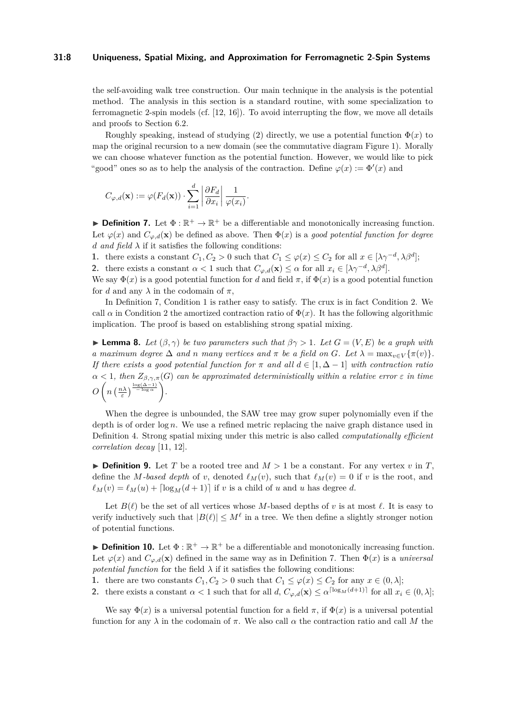#### **31:8 Uniqueness, Spatial Mixing, and Approximation for Ferromagnetic 2-Spin Systems**

the self-avoiding walk tree construction. Our main technique in the analysis is the potential method. The analysis in this section is a standard routine, with some specialization to ferromagnetic 2-spin models (cf.  $[12, 16]$  $[12, 16]$  $[12, 16]$ ). To avoid interrupting the flow, we move all details and proofs to Section [6.2.](#page-18-0)

Roughly speaking, instead of studying [\(2\)](#page-5-0) directly, we use a potential function  $\Phi(x)$  to map the original recursion to a new domain (see the commutative diagram Figure [1\)](#page-19-0). Morally we can choose whatever function as the potential function. However, we would like to pick "good" ones so as to help the analysis of the contraction. Define  $\varphi(x) := \Phi'(x)$  and

$$
C_{\varphi,d}(\mathbf{x}) := \varphi(F_d(\mathbf{x})) \cdot \sum_{i=1}^d \left| \frac{\partial F_d}{\partial x_i} \right| \frac{1}{\varphi(x_i)}.
$$

<span id="page-7-1"></span>**Definition 7.** Let  $\Phi : \mathbb{R}^+ \to \mathbb{R}^+$  be a differentiable and monotonically increasing function. Let  $\varphi(x)$  and  $C_{\varphi,d}(\mathbf{x})$  be defined as above. Then  $\Phi(x)$  is a good potential function for degree *d and field*  $\lambda$  if it satisfies the following conditions:

<span id="page-7-2"></span>**1.** there exists a constant  $C_1, C_2 > 0$  such that  $C_1 \leq \varphi(x) \leq C_2$  for all  $x \in [\lambda \gamma^{-d}, \lambda \beta^d]$ ;

<span id="page-7-3"></span>**2.** there exists a constant  $\alpha < 1$  such that  $C_{\varphi,d}(\mathbf{x}) \leq \alpha$  for all  $x_i \in [\lambda \gamma^{-d}, \lambda \beta^d]$ .

We say  $\Phi(x)$  is a good potential function for *d* and field  $\pi$ , if  $\Phi(x)$  is a good potential function for *d* and any  $\lambda$  in the codomain of  $\pi$ ,

In Definition [7,](#page-7-1) Condition [1](#page-7-2) is rather easy to satisfy. The crux is in fact Condition [2.](#page-7-3) We call  $\alpha$  in Condition [2](#page-7-3) the amortized contraction ratio of  $\Phi(x)$ . It has the following algorithmic implication. The proof is based on establishing strong spatial mixing.

<span id="page-7-0"></span>**Lemma 8.** Let  $(\beta, \gamma)$  be two parameters such that  $\beta \gamma > 1$ . Let  $G = (V, E)$  be a graph with *a* maximum degree  $\Delta$  *and n* many vertices and  $\pi$  be a field on G. Let  $\lambda = \max_{v \in V} {\{\pi(v)\}}$ . *If there exists a good potential function for*  $\pi$  *and all*  $d \in [1, \Delta - 1]$  *with contraction ratio*  $\alpha$  < 1*, then*  $Z_{\beta,\gamma,\pi}(G)$  *can be approximated deterministically within a relative error*  $\varepsilon$  *in time*  $O\left(n\left(\frac{n\lambda}{\varepsilon}\right)^{\frac{\log(\Delta-1)}{-\log \alpha}}\right)$ .

When the degree is unbounded, the SAW tree may grow super polynomially even if the depth is of order log *n*. We use a refined metric replacing the naive graph distance used in Definition [4.](#page-5-1) Strong spatial mixing under this metric is also called *computationally efficient correlation decay* [\[11,](#page-25-3) [12\]](#page-25-5).

 $\triangleright$  **Definition 9.** Let *T* be a rooted tree and  $M > 1$  be a constant. For any vertex *v* in *T*, define the *M-based depth* of *v*, denoted  $\ell_M(v)$ , such that  $\ell_M(v) = 0$  if *v* is the root, and  $\ell_M(v) = \ell_M(u) + \left[\log_M(d+1)\right]$  if *v* is a child of *u* and *u* has degree *d*.

Let  $B(\ell)$  be the set of all vertices whose M-based depths of v is at most  $\ell$ . It is easy to verify inductively such that  $|B(\ell)| \leq M^{\ell}$  in a tree. We then define a slightly stronger notion of potential functions.

<span id="page-7-4"></span>**Definition 10.** Let  $\Phi : \mathbb{R}^+ \to \mathbb{R}^+$  be a differentiable and monotonically increasing function. Let  $\varphi(x)$  and  $C_{\varphi,d}(\mathbf{x})$  defined in the same way as in Definition [7.](#page-7-1) Then  $\Phi(x)$  is a *universal potential function* for the field  $\lambda$  if it satisfies the following conditions:

<span id="page-7-5"></span>**1.** there are two constants  $C_1, C_2 > 0$  such that  $C_1 \leq \varphi(x) \leq C_2$  for any  $x \in (0, \lambda]$ ;

<span id="page-7-6"></span>**2.** there exists a constant  $\alpha < 1$  such that for all  $d$ ,  $C_{\varphi,d}(\mathbf{x}) \leq \alpha^{\lceil \log_M(d+1) \rceil}$  for all  $x_i \in (0, \lambda]$ ;

We say  $\Phi(x)$  is a universal potential function for a field  $\pi$ , if  $\Phi(x)$  is a universal potential function for any  $\lambda$  in the codomain of  $\pi$ . We also call  $\alpha$  the contraction ratio and call M the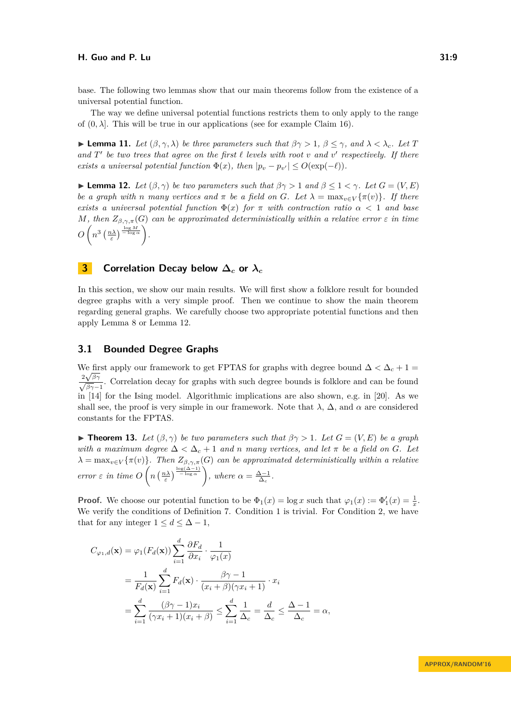base. The following two lemmas show that our main theorems follow from the existence of a universal potential function.

The way we define universal potential functions restricts them to only apply to the range of  $(0, \lambda]$ . This will be true in our applications (see for example Claim [16\)](#page-9-1).

<span id="page-8-3"></span>**Example 11.** Let  $(\beta, \gamma, \lambda)$  be three parameters such that  $\beta\gamma > 1$ ,  $\beta \leq \gamma$ , and  $\lambda < \lambda_c$ . Let T and  $T'$  be two trees that agree on the first  $\ell$  levels with root  $v$  and  $v'$  respectively. If there *exists a universal potential function*  $\Phi(x)$ *, then*  $|p_v - p_{v'}| \leq O(\exp(-\ell)).$ 

<span id="page-8-2"></span>**Lemma 12.** *Let*  $(\beta, \gamma)$  *be two parameters such that*  $\beta\gamma > 1$  *and*  $\beta \leq 1 < \gamma$ *. Let*  $G = (V, E)$ *be a graph with n many vertices and*  $\pi$  *be a field on G. Let*  $\lambda = \max_{v \in V} {\{\pi(v)\}}$ *. If there exists a universal potential function*  $\Phi(x)$  *for*  $\pi$  *with contraction ratio*  $\alpha < 1$  *and base M, then*  $Z_{\beta,\gamma,\pi}(G)$  *can be approximated deterministically within a relative error*  $\varepsilon$  *in time*  $O\left(n^3\left(\frac{n\lambda}{\varepsilon}\right)^{\frac{\log M}{-\log \alpha}}\right)$ .

# **3 Correlation Decay below ∆***<sup>c</sup>* **or** *λ<sup>c</sup>*

In this section, we show our main results. We will first show a folklore result for bounded degree graphs with a very simple proof. Then we continue to show the main theorem regarding general graphs. We carefully choose two appropriate potential functions and then apply Lemma [8](#page-7-0) or Lemma [12.](#page-8-2)

## <span id="page-8-0"></span>**3.1 Bounded Degree Graphs**

We first apply our framework to get FPTAS for graphs with degree bound  $\Delta < \Delta_c + 1 =$  $\frac{2\sqrt{\beta\gamma}}{\sqrt{\beta\gamma-1}}$ . Correlation decay for graphs with such degree bounds is folklore and can be found in [\[14\]](#page-25-11) for the Ising model. Algorithmic implications are also shown, e.g. in [\[20\]](#page-25-12). As we shall see, the proof is very simple in our framework. Note that  $\lambda$ ,  $\Delta$ , and  $\alpha$  are considered constants for the FPTAS.

<span id="page-8-1"></span>**► Theorem 13.** Let  $(\beta, \gamma)$  be two parameters such that  $\beta\gamma > 1$ . Let  $G = (V, E)$  be a graph *with a maximum degree*  $\Delta < \Delta_c + 1$  *and n many vertices, and let*  $\pi$  *be a field on G. Let*  $\lambda = \max_{v \in V} {\{\pi(v)\}}$ *. Then*  $Z_{\beta,\gamma,\pi}(G)$  *can be approximated deterministically within a relative error*  $\varepsilon$  *in time*  $O\left(n\left(\frac{n\lambda}{\varepsilon}\right)^{\frac{\log(\Delta-1)}{-\log \alpha}}\right)$ , where  $\alpha = \frac{\Delta-1}{\Delta_c}$ .

**Proof.** We choose our potential function to be  $\Phi_1(x) = \log x$  such that  $\varphi_1(x) := \Phi'_1(x) = \frac{1}{x}$ . We verify the conditions of Definition [7.](#page-7-1) Condition [1](#page-7-2) is trivial. For Condition [2,](#page-7-3) we have that for any integer  $1 \leq d \leq \Delta - 1$ ,

$$
C_{\varphi_1,d}(\mathbf{x}) = \varphi_1(F_d(\mathbf{x})) \sum_{i=1}^d \frac{\partial F_d}{\partial x_i} \cdot \frac{1}{\varphi_1(x)}
$$
  
= 
$$
\frac{1}{F_d(\mathbf{x})} \sum_{i=1}^d F_d(\mathbf{x}) \cdot \frac{\beta \gamma - 1}{(x_i + \beta)(\gamma x_i + 1)} \cdot x_i
$$
  
= 
$$
\sum_{i=1}^d \frac{(\beta \gamma - 1)x_i}{(\gamma x_i + 1)(x_i + \beta)} \le \sum_{i=1}^d \frac{1}{\Delta_c} = \frac{d}{\Delta_c} \le \frac{\Delta - 1}{\Delta_c} = \alpha,
$$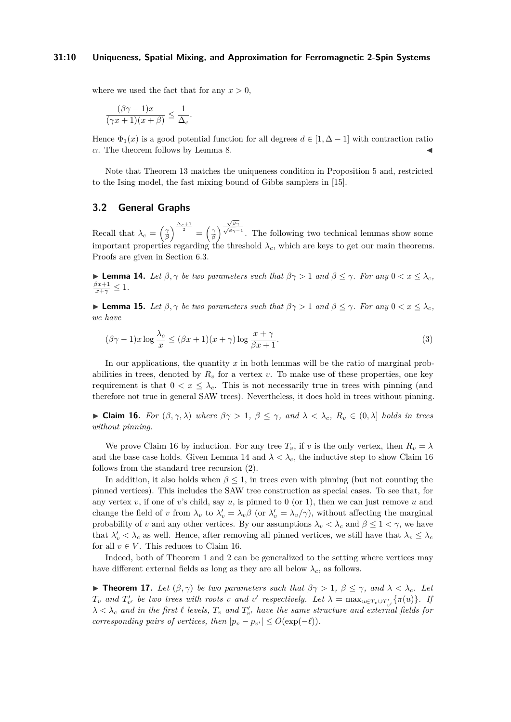#### **31:10 Uniqueness, Spatial Mixing, and Approximation for Ferromagnetic 2-Spin Systems**

where we used the fact that for any  $x > 0$ ,

$$
\frac{(\beta\gamma-1)x}{(\gamma x+1)(x+\beta)} \le \frac{1}{\Delta_c}.
$$

Hence  $\Phi_1(x)$  is a good potential function for all degrees  $d \in [1, \Delta - 1]$  with contraction ratio  $α$ . The theorem follows by Lemma [8.](#page-7-0)

Note that Theorem [13](#page-8-1) matches the uniqueness condition in Proposition [5](#page-6-2) and, restricted to the Ising model, the fast mixing bound of Gibbs samplers in [\[15\]](#page-25-10).

### <span id="page-9-0"></span>**3.2 General Graphs**

Recall that  $\lambda_c = \left(\frac{\gamma}{\beta}\right)^{\frac{\Delta_c+1}{2}} = \left(\frac{\gamma}{\beta}\right)^2$ <sup>√</sup>*βγ* <sup>√</sup>*βγ*−<sup>1</sup> . The following two technical lemmas show some important properties regarding the threshold  $\lambda_c$ , which are keys to get our main theorems. Proofs are given in Section [6.3.](#page-22-0)

<span id="page-9-2"></span> $\blacktriangleright$  **Lemma 14.** *Let β*,  $\gamma$  *be two parameters such that*  $\beta \gamma > 1$  *and*  $\beta \leq \gamma$ *. For any* 0 < *x* ≤  $\lambda_c$ *,*  $\frac{\beta x+1}{x+\gamma} \leq 1$ .

<span id="page-9-4"></span>**Example 15.** Let  $\beta, \gamma$  be two parameters such that  $\beta\gamma > 1$  and  $\beta \leq \gamma$ . For any  $0 < x \leq \lambda_c$ , *we have*

<span id="page-9-5"></span>
$$
(\beta\gamma - 1)x \log \frac{\lambda_c}{x} \le (\beta x + 1)(x + \gamma) \log \frac{x + \gamma}{\beta x + 1}.
$$
\n(3)

In our applications, the quantity *x* in both lemmas will be the ratio of marginal probabilities in trees, denoted by  $R_v$  for a vertex *v*. To make use of these properties, one key requirement is that  $0 < x \leq \lambda_c$ . This is not necessarily true in trees with pinning (and therefore not true in general SAW trees). Nevertheless, it does hold in trees without pinning.

<span id="page-9-1"></span> $\blacktriangleright$  **Claim 16.** *For* (*β, γ, λ*) *where*  $βγ > 1$ ,  $β ≤ γ$ *, and*  $λ < λ_c$ ,  $R_v ∈ (0, λ]$  *holds in trees without pinning.*

We prove Claim [16](#page-9-1) by induction. For any tree  $T_v$ , if *v* is the only vertex, then  $R_v = \lambda$ and the base case holds. Given Lemma [14](#page-9-2) and  $\lambda < \lambda_c$ , the inductive step to show Claim [16](#page-9-1) follows from the standard tree recursion [\(2\)](#page-5-0).

In addition, it also holds when  $\beta \leq 1$ , in trees even with pinning (but not counting the pinned vertices). This includes the SAW tree construction as special cases. To see that, for any vertex  $v$ , if one of  $v$ 's child, say  $u$ , is pinned to 0 (or 1), then we can just remove  $u$  and change the field of *v* from  $\lambda_v$  to  $\lambda'_v = \lambda_v \beta$  (or  $\lambda'_v = \lambda_v/\gamma$ ), without affecting the marginal probability of *v* and any other vertices. By our assumptions  $\lambda_v < \lambda_c$  and  $\beta \leq 1 < \gamma$ , we have that  $\lambda'_v < \lambda_c$  as well. Hence, after removing all pinned vertices, we still have that  $\lambda_v \leq \lambda_c$ for all  $v \in V$ . This reduces to Claim [16.](#page-9-1)

Indeed, both of Theorem [1](#page-2-1) and [2](#page-3-0) can be generalized to the setting where vertices may have different external fields as long as they are all below  $\lambda_c$ , as follows.

<span id="page-9-3"></span>**► Theorem 17.** *Let*  $(β, γ)$  *be two parameters such that*  $βγ > 1, β ≤ γ, and λ < λ<sub>c</sub>$ *. Let*  $T_v$  and  $T'_{v'}$  be two trees with roots v and v' respectively. Let  $\lambda = \max_{u \in T_v \cup T'_{v'}} {\{\pi(u)\}}$ . If  $\lambda < \lambda_c$  and in the first  $\ell$  levels,  $T_v$  and  $T'_{v'}$  have the same structure and external fields for *corresponding pairs of vertices, then*  $|p_v - p_{v'}| \leq O(\exp(-\ell)).$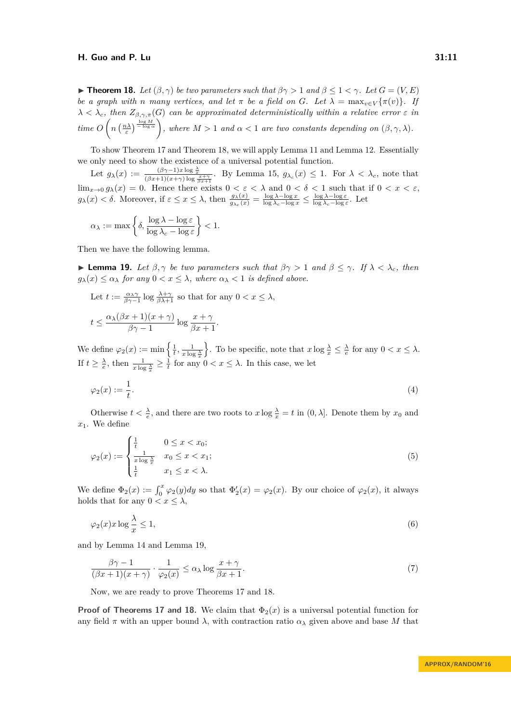<span id="page-10-1"></span>**Find 18.** *Let*  $(\beta, \gamma)$  *be two parameters such that*  $\beta\gamma > 1$  *and*  $\beta \leq 1 < \gamma$ *. Let*  $G = (V, E)$ *be a graph with n many vertices, and let*  $\pi$  *be a field on*  $G$ *. Let*  $\lambda = \max_{v \in V} {\{\pi(v)\}}$ *. If*  $\lambda < \lambda_c$ *, then*  $Z_{\beta,\gamma,\pi}(G)$  *can be approximated deterministically within a relative error*  $\varepsilon$  *in*  $time\ O\left(n\left(\frac{n\lambda}{\varepsilon}\right)^{\frac{\log M}{-\log \alpha}}\right)$ , where  $M>1$  and  $\alpha<1$  are two constants depending on  $(\beta,\gamma,\lambda)$ .

To show Theorem [17](#page-9-3) and Theorem [18,](#page-10-1) we will apply Lemma [11](#page-8-3) and Lemma [12.](#page-8-2) Essentially we only need to show the existence of a universal potential function.

Let  $g_{\lambda}(x) := \frac{(\beta\gamma - 1)x \log \frac{\lambda}{x}}{(\beta x + 1)(x + \gamma) \log \frac{x + \gamma}{\beta x + 1}}$ . By Lemma [15,](#page-9-4)  $g_{\lambda_c}(x) \leq 1$ . For  $\lambda < \lambda_c$ , note that  $\lim_{x\to 0} g_{\lambda}(x) = 0$ . Hence there exists  $0 < \varepsilon < \lambda$  and  $0 < \delta < 1$  such that if  $0 < x < \varepsilon$ ,  $g_{\lambda}(x) < \delta$ . Moreover, if  $\varepsilon \leq x \leq \lambda$ , then  $\frac{g_{\lambda}(x)}{g_{\lambda_c}(x)} = \frac{\log \lambda - \log x}{\log \lambda_c - \log x} \leq \frac{\log \lambda - \log \varepsilon}{\log \lambda_c - \log \varepsilon}$ . Let

$$
\alpha_{\lambda} := \max \left\{ \delta, \frac{\log \lambda - \log \varepsilon}{\log \lambda_{c} - \log \varepsilon} \right\} < 1.
$$

Then we have the following lemma.

<span id="page-10-2"></span>**I Lemma 19.** Let  $\beta, \gamma$  be two parameters such that  $\beta\gamma > 1$  and  $\beta \leq \gamma$ . If  $\lambda < \lambda_c$ , then  $q_{\lambda}(x) \leq \alpha_{\lambda}$  *for any*  $0 < x \leq \lambda$ *, where*  $\alpha_{\lambda} < 1$  *is defined above.* 

Let 
$$
t := \frac{\alpha_{\lambda}\gamma}{\beta\gamma - 1} \log \frac{\lambda + \gamma}{\beta\lambda + 1}
$$
 so that for any  $0 < x \le \lambda$ ,  

$$
t \le \frac{\alpha_{\lambda}(\beta x + 1)(x + \gamma)}{\beta\gamma - 1} \log \frac{x + \gamma}{\beta x + 1}.
$$

We define  $\varphi_2(x) := \min\left\{\frac{1}{t}, \frac{1}{x\log \frac{\lambda}{x}}\right\}$  $\left\{\n\cdot\right.$  To be specific, note that  $x \log \frac{\lambda}{x} \leq \frac{\lambda}{e}$  for any  $0 < x \leq \lambda$ . If  $t \geq \frac{\lambda}{e}$ , then  $\frac{1}{x \log \frac{\lambda}{x}} \geq \frac{1}{t}$  for any  $0 < x \leq \lambda$ . In this case, we let

<span id="page-10-3"></span>
$$
\varphi_2(x) := \frac{1}{t}.\tag{4}
$$

Otherwise  $t < \frac{\lambda}{e}$ , and there are two roots to  $x \log \frac{\lambda}{x} = t$  in  $(0, \lambda]$ . Denote them by  $x_0$  and *x*1. We define

<span id="page-10-0"></span>
$$
\varphi_2(x) := \begin{cases} \frac{1}{t} & 0 \le x < x_0; \\ \frac{1}{x \log \frac{\lambda}{x}} & x_0 \le x < x_1; \\ \frac{1}{t} & x_1 \le x < \lambda. \end{cases} \tag{5}
$$

We define  $\Phi_2(x) := \int_0^x \varphi_2(y) dy$  so that  $\Phi'_2(x) = \varphi_2(x)$ . By our choice of  $\varphi_2(x)$ , it always holds that for any  $0 < x \leq \lambda$ ,

<span id="page-10-5"></span>
$$
\varphi_2(x)x\log\frac{\lambda}{x} \le 1,\tag{6}
$$

and by Lemma [14](#page-9-2) and Lemma [19,](#page-10-2)

<span id="page-10-4"></span>
$$
\frac{\beta\gamma - 1}{(\beta x + 1)(x + \gamma)} \cdot \frac{1}{\varphi_2(x)} \le \alpha_\lambda \log \frac{x + \gamma}{\beta x + 1}.\tag{7}
$$

Now, we are ready to prove Theorems [17](#page-9-3) and [18.](#page-10-1)

**Proof of Theorems [17](#page-9-3) and [18.](#page-10-1)** We claim that  $\Phi_2(x)$  is a universal potential function for any field  $\pi$  with an upper bound  $\lambda$ , with contraction ratio  $\alpha_{\lambda}$  given above and base M that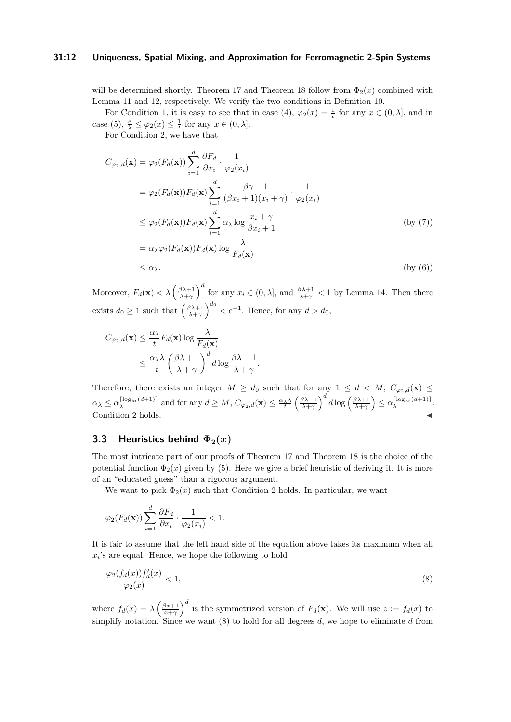#### **31:12 Uniqueness, Spatial Mixing, and Approximation for Ferromagnetic 2-Spin Systems**

will be determined shortly. Theorem [17](#page-9-3) and Theorem [18](#page-10-1) follow from  $\Phi_2(x)$  combined with Lemma [11](#page-8-3) and [12,](#page-8-2) respectively. We verify the two conditions in Definition [10.](#page-7-4)

For Condition [1,](#page-7-5) it is easy to see that in case [\(4\)](#page-10-3),  $\varphi_2(x) = \frac{1}{t}$  for any  $x \in (0, \lambda]$ , and in case [\(5\)](#page-10-0),  $\frac{e}{\lambda} \leq \varphi_2(x) \leq \frac{1}{t}$  for any  $x \in (0, \lambda]$ .

For Condition [2,](#page-7-6) we have that

$$
C_{\varphi_2,d}(\mathbf{x}) = \varphi_2(F_d(\mathbf{x})) \sum_{i=1}^d \frac{\partial F_d}{\partial x_i} \cdot \frac{1}{\varphi_2(x_i)}
$$
  
\n
$$
= \varphi_2(F_d(\mathbf{x})) F_d(\mathbf{x}) \sum_{i=1}^d \frac{\beta \gamma - 1}{(\beta x_i + 1)(x_i + \gamma)} \cdot \frac{1}{\varphi_2(x_i)}
$$
  
\n
$$
\leq \varphi_2(F_d(\mathbf{x})) F_d(\mathbf{x}) \sum_{i=1}^d \alpha_\lambda \log \frac{x_i + \gamma}{\beta x_i + 1}
$$
  
\n
$$
= \alpha_\lambda \varphi_2(F_d(\mathbf{x})) F_d(\mathbf{x}) \log \frac{\lambda}{F_d(\mathbf{x})}
$$
  
\n
$$
\leq \alpha_\lambda.
$$
 (by (6))

Moreover,  $F_d(\mathbf{x}) < \lambda \left(\frac{\beta \lambda + 1}{\lambda + \gamma}\right)^d$  for any  $x_i \in (0, \lambda]$ , and  $\frac{\beta \lambda + 1}{\lambda + \gamma} < 1$  by Lemma [14.](#page-9-2) Then there exists  $d_0 \geq 1$  such that  $\left(\frac{\beta \lambda + 1}{\lambda + \gamma}\right)^{d_0} < e^{-1}$ . Hence, for any  $d > d_0$ ,

$$
C_{\varphi_2,d}(\mathbf{x}) \le \frac{\alpha_{\lambda}}{t} F_d(\mathbf{x}) \log \frac{\lambda}{F_d(\mathbf{x})}
$$
  
 
$$
\le \frac{\alpha_{\lambda} \lambda}{t} \left(\frac{\beta \lambda + 1}{\lambda + \gamma}\right)^d d \log \frac{\beta \lambda + 1}{\lambda + \gamma}.
$$

Therefore, there exists an integer  $M \geq d_0$  such that for any  $1 \leq d \lt M$ ,  $C_{\varphi_2,d}(\mathbf{x}) \leq$  $\alpha_{\lambda} \leq \alpha_{\lambda}^{\lceil \log_{M}(d+1) \rceil}$  and for any  $d \geq M$ ,  $C_{\varphi_{2},d}(\mathbf{x}) \leq \frac{\alpha_{\lambda} \lambda}{t} \left( \frac{\beta \lambda + 1}{\lambda + \gamma} \right)^{d} d \log \left( \frac{\beta \lambda + 1}{\lambda + \gamma} \right) \leq \alpha_{\lambda}^{\lceil \log_{M}(d+1) \rceil}$ . Condition [2](#page-7-6) holds.

# **3.3 Heuristics behind**  $\Phi_2(x)$

The most intricate part of our proofs of Theorem [17](#page-9-3) and Theorem [18](#page-10-1) is the choice of the potential function  $\Phi_2(x)$  given by [\(5\)](#page-10-0). Here we give a brief heuristic of deriving it. It is more of an "educated guess" than a rigorous argument.

We want to pick  $\Phi_2(x)$  such that Condition [2](#page-7-6) holds. In particular, we want

$$
\varphi_2(F_d(\mathbf{x})) \sum_{i=1}^d \frac{\partial F_d}{\partial x_i} \cdot \frac{1}{\varphi_2(x_i)} < 1.
$$

It is fair to assume that the left hand side of the equation above takes its maximum when all *xi* 's are equal. Hence, we hope the following to hold

<span id="page-11-0"></span>
$$
\frac{\varphi_2(f_d(x))f'_d(x)}{\varphi_2(x)} < 1,\tag{8}
$$

where  $f_d(x) = \lambda \left(\frac{\beta x+1}{x+\gamma}\right)^d$  is the symmetrized version of  $F_d(\mathbf{x})$ . We will use  $z := f_d(x)$  to simplify notation. Since we want [\(8\)](#page-11-0) to hold for all degrees *d*, we hope to eliminate *d* from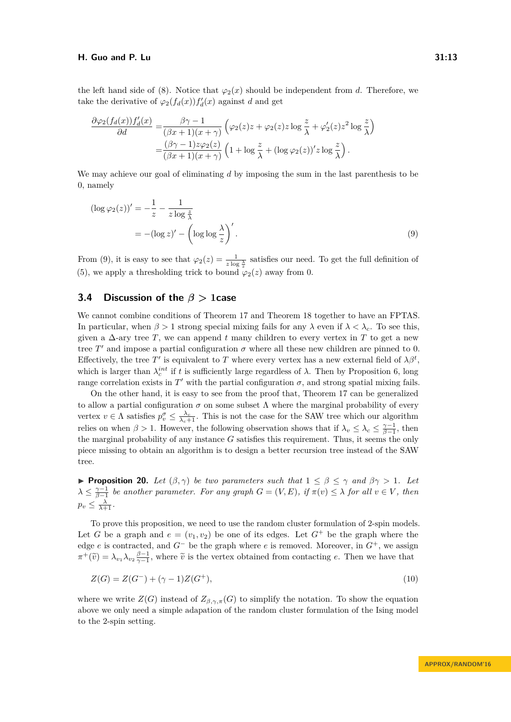the left hand side of [\(8\)](#page-11-0). Notice that  $\varphi_2(x)$  should be independent from *d*. Therefore, we take the derivative of  $\varphi_2(f_d(x))f'_d(x)$  against *d* and get

$$
\frac{\partial \varphi_2(f_d(x))f'_d(x)}{\partial d} = \frac{\beta \gamma - 1}{(\beta x + 1)(x + \gamma)} \left( \varphi_2(z)z + \varphi_2(z)z \log \frac{z}{\lambda} + \varphi_2'(z)z^2 \log \frac{z}{\lambda} \right)
$$

$$
= \frac{(\beta \gamma - 1)z\varphi_2(z)}{(\beta x + 1)(x + \gamma)} \left( 1 + \log \frac{z}{\lambda} + (\log \varphi_2(z))'z \log \frac{z}{\lambda} \right).
$$

We may achieve our goal of eliminating *d* by imposing the sum in the last parenthesis to be 0, namely

<span id="page-12-1"></span>
$$
(\log \varphi_2(z))' = -\frac{1}{z} - \frac{1}{z \log \frac{z}{\lambda}}
$$
  
= -(\log z)' - (\log \log \frac{\lambda}{z})'. (9)

From [\(9\)](#page-12-1), it is easy to see that  $\varphi_2(z) = \frac{1}{z \log \frac{\lambda}{z}}$  satisfies our need. To get the full definition of [\(5\)](#page-10-0), we apply a thresholding trick to bound  $\varphi_2(z)$  away from 0.

# **3.4 Discussion of the** *β >* **1case**

We cannot combine conditions of Theorem [17](#page-9-3) and Theorem [18](#page-10-1) together to have an FPTAS. In particular, when  $\beta > 1$  strong special mixing fails for any  $\lambda$  even if  $\lambda < \lambda_c$ . To see this, given a ∆-ary tree *T*, we can append *t* many children to every vertex in *T* to get a new tree  $T'$  and impose a partial configuration  $\sigma$  where all these new children are pinned to 0. Effectively, the tree T' is equivalent to T where every vertex has a new external field of  $\lambda \beta^t$ , which is larger than  $\lambda_c^{int}$  if *t* is sufficiently large regardless of  $\lambda$ . Then by Proposition [6,](#page-6-1) long range correlation exists in  $T'$  with the partial configuration  $\sigma$ , and strong spatial mixing fails.

On the other hand, it is easy to see from the proof that, Theorem [17](#page-9-3) can be generalized to allow a partial configuration  $\sigma$  on some subset  $\Lambda$  where the marginal probability of every vertex  $v \in \Lambda$  satisfies  $p_v^{\sigma} \leq \frac{\lambda_c}{\lambda_c+1}$ . This is not the case for the SAW tree which our algorithm relies on when  $\beta > 1$ . However, the following observation shows that if  $\lambda_v \leq \lambda_c \leq \frac{\gamma - 1}{\beta - 1}$ , then the marginal probability of any instance *G* satisfies this requirement. Thus, it seems the only piece missing to obtain an algorithm is to design a better recursion tree instead of the SAW tree.

<span id="page-12-0"></span>**Proposition 20.** *Let*  $(\beta, \gamma)$  *be two parameters such that*  $1 \leq \beta \leq \gamma$  *and*  $\beta\gamma > 1$ *. Let*  $\lambda \leq \frac{\gamma-1}{\beta-1}$  be another parameter. For any graph  $G = (V, E)$ , if  $\pi(v) \leq \lambda$  for all  $v \in V$ , then  $p_v \leq \frac{\lambda}{\lambda+1}$ .

To prove this proposition, we need to use the random cluster formulation of 2-spin models. Let *G* be a graph and  $e = (v_1, v_2)$  be one of its edges. Let  $G^+$  be the graph where the edge *e* is contracted, and *G*<sup>−</sup> be the graph where *e* is removed. Moreover, in *G*<sup>+</sup>, we assign  $\pi^+(\tilde{v}) = \lambda_{v_1} \lambda_{v_2} \frac{\beta - 1}{\gamma - 1}$ , where  $\tilde{v}$  is the vertex obtained from contacting *e*. Then we have that

<span id="page-12-2"></span>
$$
Z(G) = Z(G^-) + (\gamma - 1)Z(G^+),\tag{10}
$$

where we write  $Z(G)$  instead of  $Z_{\beta,\gamma,\pi}(G)$  to simplify the notation. To show the equation above we only need a simple adapation of the random cluster formulation of the Ising model to the 2-spin setting.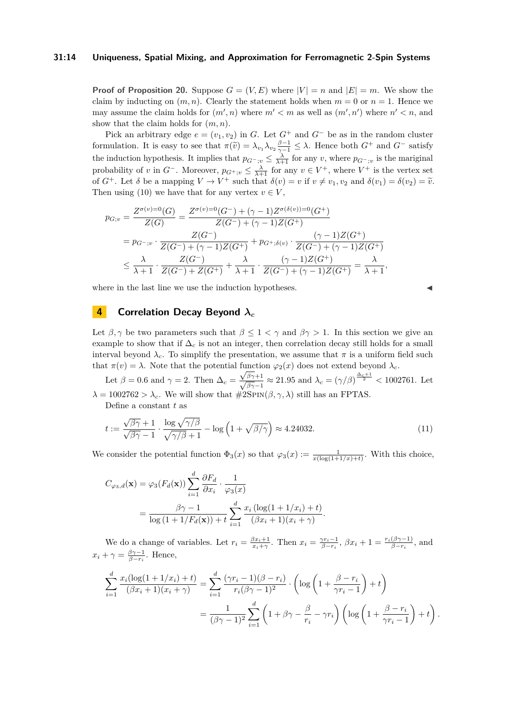#### **31:14 Uniqueness, Spatial Mixing, and Approximation for Ferromagnetic 2-Spin Systems**

**Proof of Proposition [20.](#page-12-0)** Suppose  $G = (V, E)$  where  $|V| = n$  and  $|E| = m$ . We show the claim by inducting on  $(m, n)$ . Clearly the statement holds when  $m = 0$  or  $n = 1$ . Hence we may assume the claim holds for  $(m', n)$  where  $m' < m$  as well as  $(m', n')$  where  $n' < n$ , and show that the claim holds for (*m, n*).

Pick an arbitrary edge  $e = (v_1, v_2)$  in *G*. Let  $G^+$  and  $G^-$  be as in the random cluster formulation. It is easy to see that  $\pi(\tilde{v}) = \lambda_{v_1} \lambda_{v_2} \frac{\beta - 1}{\gamma - 1} \leq \lambda$ . Hence both  $G^+$  and  $G^-$  satisfy the induction hypothesis. It implies that  $p_{G^-;v} \leq \frac{\lambda}{\lambda+1}$  for any *v*, where  $p_{G^-;v}$  is the mariginal probability of *v* in  $G^-$ . Moreover,  $p_{G^+;v} \leq \frac{\lambda}{\lambda+1}$  for any  $v \in V^+$ , where  $V^+$  is the vertex set of  $G^+$ . Let  $\delta$  be a mapping  $V \to V^+$  such that  $\delta(v) = v$  if  $v \neq v_1, v_2$  and  $\delta(v_1) = \delta(v_2) = \tilde{v}$ . Then using [\(10\)](#page-12-2) we have that for any vertex  $v \in V$ ,

$$
p_{G;v} = \frac{Z^{\sigma(v)=0}(G)}{Z(G)} = \frac{Z^{\sigma(v)=0}(G^-) + (\gamma - 1)Z^{\sigma(\delta(v))=0}(G^+)}{Z(G^-) + (\gamma - 1)Z(G^+)} = p_{G^-;v} \cdot \frac{Z(G^-)}{Z(G^-) + (\gamma - 1)Z(G^+)} + p_{G^+;\delta(v)} \cdot \frac{(\gamma - 1)Z(G^+)}{Z(G^-) + (\gamma - 1)Z(G^+)} \leq \frac{\lambda}{\lambda + 1} \cdot \frac{Z(G^-)}{Z(G^-) + Z(G^+)} + \frac{\lambda}{\lambda + 1} \cdot \frac{(\gamma - 1)Z(G^+)}{Z(G^-) + (\gamma - 1)Z(G^+)} = \frac{\lambda}{\lambda + 1},
$$

where in the last line we use the induction hypotheses.

# <span id="page-13-0"></span>**4 Correlation Decay Beyond** *λ<sup>c</sup>*

Let  $\beta, \gamma$  be two parameters such that  $\beta \leq 1 < \gamma$  and  $\beta \gamma > 1$ . In this section we give an example to show that if  $\Delta_c$  is not an integer, then correlation decay still holds for a small interval beyond  $\lambda_c$ . To simplify the presentation, we assume that  $\pi$  is a uniform field such that  $\pi(v) = \lambda$ . Note that the potential function  $\varphi_2(x)$  does not extend beyond  $\lambda_c$ .

Let  $\beta = 0.6$  and  $\gamma = 2$ . Then  $\Delta_c = \frac{\sqrt{\beta \gamma + 1}}{\sqrt{\beta \gamma - 1}} \approx 21.95$  and  $\lambda_c = (\gamma/\beta)^{\frac{\Delta_c + 1}{2}} < 1002761$ . Let  $\lambda = 1002762 > \lambda_c$ . We will show that  $\#2SPIN(\beta, \gamma, \lambda)$  still has an FPTAS.

Define a constant *t* as

<span id="page-13-1"></span>
$$
t := \frac{\sqrt{\beta\gamma} + 1}{\sqrt{\beta\gamma} - 1} \cdot \frac{\log \sqrt{\gamma/\beta}}{\sqrt{\gamma/\beta} + 1} - \log \left( 1 + \sqrt{\beta/\gamma} \right) \approx 4.24032. \tag{11}
$$

We consider the potential function  $\Phi_3(x)$  so that  $\varphi_3(x) := \frac{1}{x(\log(1+1/x)+t)}$ . With this choice,

$$
C_{\varphi_3,d}(\mathbf{x}) = \varphi_3(F_d(\mathbf{x})) \sum_{i=1}^d \frac{\partial F_d}{\partial x_i} \cdot \frac{1}{\varphi_3(x)}
$$
  
= 
$$
\frac{\beta \gamma - 1}{\log(1 + 1/F_d(\mathbf{x})) + t} \sum_{i=1}^d \frac{x_i (\log(1 + 1/x_i) + t)}{(\beta x_i + 1)(x_i + \gamma)}.
$$

We do a change of variables. Let  $r_i = \frac{\beta x_i + 1}{x_i + \gamma}$ . Then  $x_i = \frac{\gamma r_i - 1}{\beta - r_i}$ ,  $\beta x_i + 1 = \frac{r_i(\beta \gamma - 1)}{\beta - r_i}$ , and  $x_i + \gamma = \frac{\beta \gamma - 1}{\beta - r_i}$ . Hence,

$$
\sum_{i=1}^{d} \frac{x_i(\log(1+1/x_i)+t)}{(\beta x_i+1)(x_i+\gamma)} = \sum_{i=1}^{d} \frac{(\gamma r_i-1)(\beta-r_i)}{r_i(\beta\gamma-1)^2} \cdot \left(\log\left(1+\frac{\beta-r_i}{\gamma r_i-1}\right)+t\right)
$$

$$
= \frac{1}{(\beta\gamma-1)^2} \sum_{i=1}^{d} \left(1+\beta\gamma-\frac{\beta}{r_i}-\gamma r_i\right) \left(\log\left(1+\frac{\beta-r_i}{\gamma r_i-1}\right)+t\right).
$$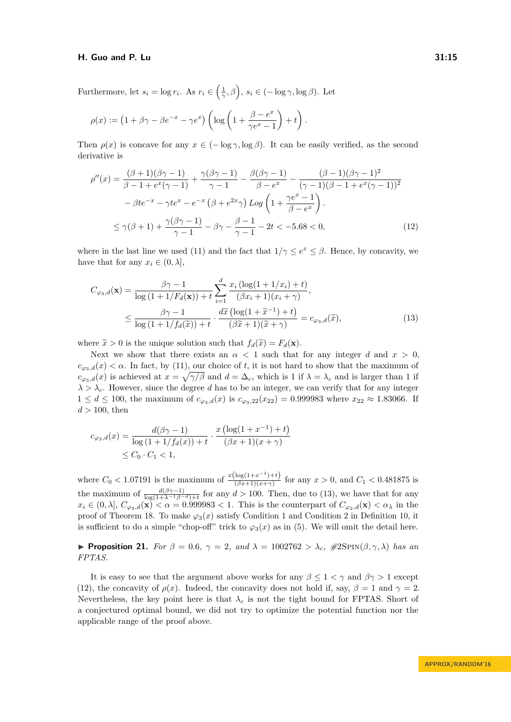Furthermore, let  $s_i = \log r_i$ . As  $r_i \in \left(\frac{1}{\gamma}, \beta\right)$ ,  $s_i \in (-\log \gamma, \log \beta)$ . Let

$$
\rho(x) := \left(1 + \beta\gamma - \beta e^{-x} - \gamma e^x\right) \left(\log\left(1 + \frac{\beta - e^x}{\gamma e^x - 1}\right) + t\right).
$$

Then  $\rho(x)$  is concave for any  $x \in (-\log \gamma, \log \beta)$ . It can be easily verified, as the second derivative is

<span id="page-14-2"></span>
$$
\rho''(x) = \frac{(\beta + 1)(\beta\gamma - 1)}{\beta - 1 + e^x(\gamma - 1)} + \frac{\gamma(\beta\gamma - 1)}{\gamma - 1} - \frac{\beta(\beta\gamma - 1)}{\beta - e^x} - \frac{(\beta - 1)(\beta\gamma - 1)^2}{(\gamma - 1)(\beta - 1 + e^x(\gamma - 1))^2} \n- \beta t e^{-x} - \gamma t e^x - e^{-x} (\beta + e^{2x} \gamma) Log \left( 1 + \frac{\gamma e^x - 1}{\beta - e^x} \right) . \n\le \gamma(\beta + 1) + \frac{\gamma(\beta\gamma - 1)}{\gamma - 1} - \beta\gamma - \frac{\beta - 1}{\gamma - 1} - 2t < -5.68 < 0,
$$
\n(12)

where in the last line we used [\(11\)](#page-13-1) and the fact that  $1/\gamma \le e^x \le \beta$ . Hence, by concavity, we have that for any  $x_i \in (0, \lambda]$ ,

<span id="page-14-1"></span>
$$
C_{\varphi_3,d}(\mathbf{x}) = \frac{\beta \gamma - 1}{\log\left(1 + 1/F_d(\mathbf{x})\right) + t} \sum_{i=1}^d \frac{x_i \left(\log(1 + 1/x_i) + t\right)}{(\beta x_i + 1)(x_i + \gamma)},
$$
  

$$
\leq \frac{\beta \gamma - 1}{\log\left(1 + 1/f_d(\widetilde{x})\right) + t} \cdot \frac{d\widetilde{x}\left(\log(1 + \widetilde{x}^{-1}) + t\right)}{(\beta \widetilde{x} + 1)(\widetilde{x} + \gamma)} = c_{\varphi_3,d}(\widetilde{x}),
$$
(13)

where  $\tilde{x} > 0$  is the unique solution such that  $f_d(\tilde{x}) = F_d(\mathbf{x})$ .

Next we show that there exists an  $\alpha < 1$  such that for any integer *d* and  $x > 0$ ,  $c_{\omega_2,d}(x) < \alpha$ . In fact, by [\(11\)](#page-13-1), our choice of *t*, it is not hard to show that the maximum of  $c_{\varphi_3,d}(x)$  is achieved at  $x = \sqrt{\gamma/\beta}$  and  $d = \Delta_c$ , which is 1 if  $\lambda = \lambda_c$  and is larger than 1 if  $\lambda > \lambda_c$ . However, since the degree *d* has to be an integer, we can verify that for any integer  $1 \leq d \leq 100$ , the maximum of  $c_{\varphi_3,d}(x)$  is  $c_{\varphi_3,22}(x_{22}) = 0.999983$  where  $x_{22} \approx 1.83066$ . If *d >* 100, then

$$
c_{\varphi_3,d}(x) = \frac{d(\beta\gamma - 1)}{\log(1 + 1/f_d(x)) + t} \cdot \frac{x(\log(1 + x^{-1}) + t)}{(\beta x + 1)(x + \gamma)} \le C_0 \cdot C_1 < 1,
$$

where  $C_0 < 1.07191$  is the maximum of  $\frac{x(\log(1+x^{-1})+t)}{(8x+1)(x+x)}$  $\frac{\log(1+x)}{(\beta x+1)(x+\gamma)}$  for any  $x > 0$ , and  $C_1 < 0.481875$  is the maximum of  $\frac{d(\beta\gamma-1)}{\log(1+\lambda^{-1}\beta^{-d})+t}$  for any  $d>100$ . Then, due to [\(13\)](#page-14-1), we have that for any  $x_i \in (0, \lambda], C_{\varphi_3,d}(\mathbf{x}) < \alpha = 0.999983 < 1$ . This is the counterpart of  $C_{\varphi_2,d}(\mathbf{x}) < \alpha_{\lambda}$  in the proof of Theorem [18.](#page-10-1) To make  $\varphi_3(x)$  satisfy Condition [1](#page-7-5) and Condition [2](#page-7-6) in Definition [10,](#page-7-4) it is sufficient to do a simple "chop-off" trick to  $\varphi_3(x)$  as in [\(5\)](#page-10-0). We will omit the detail here.

<span id="page-14-0"></span>**Proposition 21.** *For*  $\beta = 0.6$ ,  $\gamma = 2$ , and  $\lambda = 1002762 > \lambda_c$ ,  $\#2\text{SPIN}(\beta, \gamma, \lambda)$  has an *FPTAS.*

It is easy to see that the argument above works for any  $\beta \leq 1 < \gamma$  and  $\beta \gamma > 1$  except [\(12\)](#page-14-2), the concavity of  $\rho(x)$ . Indeed, the concavity does not hold if, say,  $\beta = 1$  and  $\gamma = 2$ . Nevertheless, the key point here is that  $\lambda_c$  is not the tight bound for FPTAS. Short of a conjectured optimal bound, we did not try to optimize the potential function nor the applicable range of the proof above.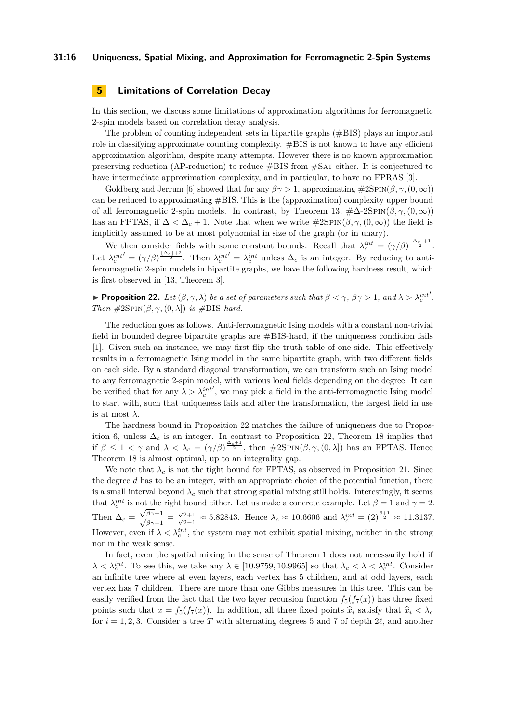#### **31:16 Uniqueness, Spatial Mixing, and Approximation for Ferromagnetic 2-Spin Systems**

# <span id="page-15-0"></span>**5 Limitations of Correlation Decay**

In this section, we discuss some limitations of approximation algorithms for ferromagnetic 2-spin models based on correlation decay analysis.

The problem of counting independent sets in bipartite graphs (#BIS) plays an important role in classifying approximate counting complexity.  $\#BIS$  is not known to have any efficient approximation algorithm, despite many attempts. However there is no known approximation preserving reduction (AP-reduction) to reduce #BIS from #Sat either. It is conjectured to have intermediate approximation complexity, and in particular, to have no FPRAS [\[3\]](#page-24-3).

Goldberg and Jerrum [\[6\]](#page-24-2) showed that for any  $\beta \gamma > 1$ , approximating  $\#\text{2SPIN}(\beta, \gamma, (0, \infty))$ can be reduced to approximating #BIS. This is the (approximation) complexity upper bound of all ferromagnetic 2-spin models. In contrast, by Theorem [13,](#page-8-1)  $\#\Delta$ -2SPIN $(\beta, \gamma, (0, \infty))$ has an FPTAS, if  $\Delta < \Delta_c + 1$ . Note that when we write  $\#\text{2SPN}(\beta, \gamma, (0, \infty))$  the field is implicitly assumed to be at most polynomial in size of the graph (or in unary).

We then consider fields with some constant bounds. Recall that  $\lambda_c^{int} = (\gamma/\beta)^{\frac{\lceil \Delta_c \rceil + 1}{2}}$ . Let  $\lambda_c^{int'} = (\gamma/\beta)^{\frac{|\Delta_c|+2}{2}}$ . Then  $\lambda_c^{int'} = \lambda_c^{int}$  unless  $\Delta_c$  is an integer. By reducing to antiferromagnetic 2-spin models in bipartite graphs, we have the following hardness result, which is first observed in [\[13,](#page-25-0) Theorem 3].

<span id="page-15-1"></span>**Proposition 22.** *Let*  $(\beta, \gamma, \lambda)$  *be a set of parameters such that*  $\beta < \gamma$ ,  $\beta\gamma > 1$ , and  $\lambda > \lambda_c^{int}$ 0 *. Then*  $\#2\text{SPIN}(\beta, \gamma, (0, \lambda))$  *is*  $\#BIS-hard.$ 

The reduction goes as follows. Anti-ferromagnetic Ising models with a constant non-trivial field in bounded degree bipartite graphs are #BIS-hard, if the uniqueness condition fails [\[1\]](#page-24-4). Given such an instance, we may first flip the truth table of one side. This effectively results in a ferromagnetic Ising model in the same bipartite graph, with two different fields on each side. By a standard diagonal transformation, we can transform such an Ising model to any ferromagnetic 2-spin model, with various local fields depending on the degree. It can be verified that for any  $\lambda > \lambda_c^{int}$ 0 , we may pick a field in the anti-ferromagnetic Ising model to start with, such that uniqueness fails and after the transformation, the largest field in use is at most  $\lambda$ .

The hardness bound in Proposition [22](#page-15-1) matches the failure of uniqueness due to Propos-ition [6,](#page-6-1) unless  $\Delta_c$  is an integer. In contrast to Proposition [22,](#page-15-1) Theorem [18](#page-10-1) implies that if  $\beta \leq 1 < \gamma$  and  $\lambda < \lambda_c = (\gamma/\beta)^{\frac{\Delta_c+1}{2}}$ , then  $\#2\text{SPIN}(\beta, \gamma, (0, \lambda])$  has an FPTAS. Hence Theorem [18](#page-10-1) is almost optimal, up to an integrality gap.

We note that  $\lambda_c$  is not the tight bound for FPTAS, as observed in Proposition [21.](#page-14-0) Since the degree *d* has to be an integer, with an appropriate choice of the potential function, there is a small interval beyond  $\lambda_c$  such that strong spatial mixing still holds. Interestingly, it seems that  $\lambda_c^{int}$  is not the right bound either. Let us make a concrete example. Let  $\beta = 1$  and  $\gamma = 2$ . Then  $\Delta_c = \frac{\sqrt{\beta \gamma + 1}}{\sqrt{\beta \gamma - 1}} = \frac{\sqrt{3}}{\sqrt{3}}$  $\frac{\sqrt{2}+1}{\sqrt{2}}$  $\frac{2+1}{2-1} \approx 5.82843$ . Hence  $\lambda_c \approx 10.6606$  and  $\lambda_c^{int} = (2)^{\frac{6+1}{2}} \approx 11.3137$ . However, even if  $\lambda < \lambda_c^{int}$ , the system may not exhibit spatial mixing, neither in the strong nor in the weak sense.

In fact, even the spatial mixing in the sense of Theorem [1](#page-2-1) does not necessarily hold if  $\lambda < \lambda_c^{int}$ . To see this, we take any  $\lambda \in [10.9759, 10.9965]$  so that  $\lambda_c < \lambda < \lambda_c^{int}$ . Consider an infinite tree where at even layers, each vertex has 5 children, and at odd layers, each vertex has 7 children. There are more than one Gibbs measures in this tree. This can be easily verified from the fact that the two layer recursion function  $f_5(f_7(x))$  has three fixed points such that  $x = f_5(f_7(x))$ . In addition, all three fixed points  $\hat{x}_i$  satisfy that  $\hat{x}_i < \lambda_c$ for  $i = 1, 2, 3$ . Consider a tree T with alternating degrees 5 and 7 of depth 2 $\ell$ , and another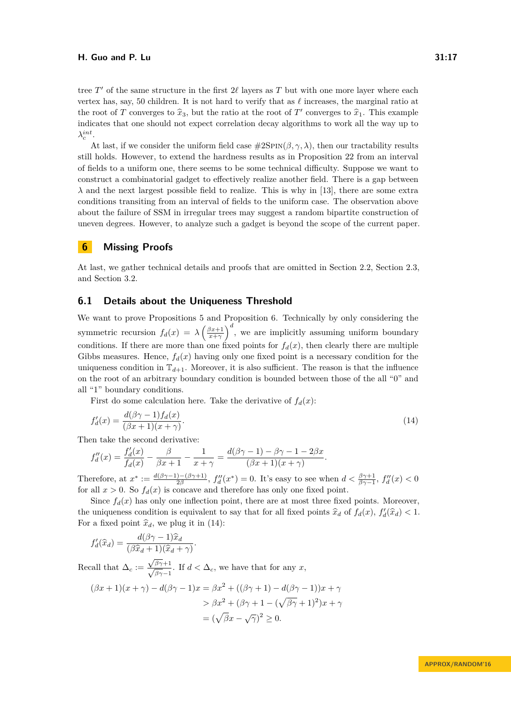tree  $T'$  of the same structure in the first  $2\ell$  layers as  $T$  but with one more layer where each vertex has, say, 50 children. It is not hard to verify that as  $\ell$  increases, the marginal ratio at the root of *T* converges to  $\hat{x}_3$ , but the ratio at the root of *T'* converges to  $\hat{x}_1$ . This example indicates that one should not expect correlation decay algorithms to work all the way up to  $\lambda_c^{int}$ .

At last, if we consider the uniform field case  $\#\text{2SPN}(\beta, \gamma, \lambda)$ , then our tractability results still holds. However, to extend the hardness results as in Proposition [22](#page-15-1) from an interval of fields to a uniform one, there seems to be some technical difficulty. Suppose we want to construct a combinatorial gadget to effectively realize another field. There is a gap between  $\lambda$  and the next largest possible field to realize. This is why in [\[13\]](#page-25-0), there are some extra conditions transiting from an interval of fields to the uniform case. The observation above about the failure of SSM in irregular trees may suggest a random bipartite construction of uneven degrees. However, to analyze such a gadget is beyond the scope of the current paper.

# **6 Missing Proofs**

At last, we gather technical details and proofs that are omitted in Section [2.2,](#page-6-0) Section [2.3,](#page-6-3) and Section [3.2.](#page-9-0)

## <span id="page-16-0"></span>**6.1 Details about the Uniqueness Threshold**

We want to prove Propositions [5](#page-6-2) and Proposition [6.](#page-6-1) Technically by only considering the symmetric recursion  $f_d(x) = \lambda \left(\frac{\beta x+1}{x+\gamma}\right)^d$ , we are implicitly assuming uniform boundary conditions. If there are more than one fixed points for  $f_d(x)$ , then clearly there are multiple Gibbs measures. Hence,  $f_d(x)$  having only one fixed point is a necessary condition for the uniqueness condition in  $\mathbb{T}_{d+1}$ . Moreover, it is also sufficient. The reason is that the influence on the root of an arbitrary boundary condition is bounded between those of the all "0" and all "1" boundary conditions.

First do some calculation here. Take the derivative of  $f_d(x)$ :

<span id="page-16-1"></span>
$$
f'_d(x) = \frac{d(\beta\gamma - 1)f_d(x)}{(\beta x + 1)(x + \gamma)}.\tag{14}
$$

Then take the second derivative:

$$
f''_d(x) = \frac{f'_d(x)}{f_d(x)} - \frac{\beta}{\beta x + 1} - \frac{1}{x + \gamma} = \frac{d(\beta\gamma - 1) - \beta\gamma - 1 - 2\beta x}{(\beta x + 1)(x + \gamma)}.
$$

Therefore, at  $x^* := \frac{d(\beta\gamma-1)-(\beta\gamma+1)}{2\beta}$  $f''_{d}(x^*) = 0$ . It's easy to see when  $d < \frac{\beta \gamma + 1}{\beta \gamma - 1}$ ,  $f''_{d}(x) < 0$ for all  $x > 0$ . So  $f_d(x)$  is concave and therefore has only one fixed point.

Since  $f_d(x)$  has only one inflection point, there are at most three fixed points. Moreover, the uniqueness condition is equivalent to say that for all fixed points  $\hat{x}_d$  of  $f_d(x)$ ,  $f'_d(\hat{x}_d) < 1$ . For a fixed point  $\hat{x}_d$ , we plug it in [\(14\)](#page-16-1):

$$
f'_d(\widehat{x}_d) = \frac{d(\beta\gamma - 1)\widehat{x}_d}{(\beta\widehat{x}_d + 1)(\widehat{x}_d + \gamma)}.
$$

Recall that  $\Delta_c :=$  $\frac{\sqrt{\beta\gamma+1}}{\sqrt{\beta\gamma-1}}$ . If  $d < \Delta_c$ , we have that for any *x*,

$$
(\beta x + 1)(x + \gamma) - d(\beta \gamma - 1)x = \beta x^2 + ((\beta \gamma + 1) - d(\beta \gamma - 1))x + \gamma
$$
  
> 
$$
\beta x^2 + (\beta \gamma + 1 - (\sqrt{\beta \gamma} + 1)^2)x + \gamma
$$
  
= 
$$
(\sqrt{\beta}x - \sqrt{\gamma})^2 \ge 0.
$$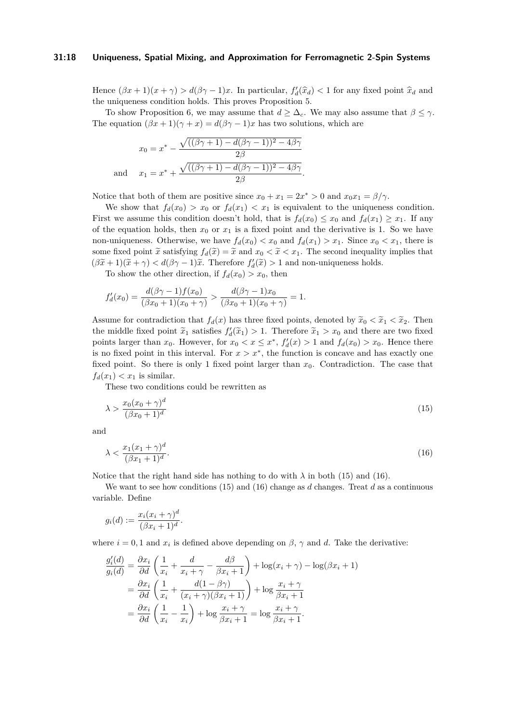#### **31:18 Uniqueness, Spatial Mixing, and Approximation for Ferromagnetic 2-Spin Systems**

Hence  $(\beta x + 1)(x + \gamma) > d(\beta \gamma - 1)x$ . In particular,  $f'_d(\hat{x}_d) < 1$  for any fixed point  $\hat{x}_d$  and the uniqueness condition holds. This presses Preparition  $\zeta$ the uniqueness condition holds. This proves Proposition [5.](#page-6-2)

To show Proposition [6,](#page-6-1) we may assume that  $d > \Delta_c$ . We may also assume that  $\beta < \gamma$ . The equation  $(\beta x + 1)(\gamma + x) = d(\beta \gamma - 1)x$  has two solutions, which are

$$
x_0 = x^* - \frac{\sqrt{((\beta\gamma + 1) - d(\beta\gamma - 1))^2 - 4\beta\gamma}}{2\beta}
$$
  
and 
$$
x_1 = x^* + \frac{\sqrt{((\beta\gamma + 1) - d(\beta\gamma - 1))^2 - 4\beta\gamma}}{2\beta}.
$$

Notice that both of them are positive since  $x_0 + x_1 = 2x^* > 0$  and  $x_0x_1 = \beta/\gamma$ .

We show that  $f_d(x_0) > x_0$  or  $f_d(x_1) < x_1$  is equivalent to the uniqueness condition. First we assume this condition doesn't hold, that is  $f_d(x_0) \leq x_0$  and  $f_d(x_1) \geq x_1$ . If any of the equation holds, then  $x_0$  or  $x_1$  is a fixed point and the derivative is 1. So we have non-uniqueness. Otherwise, we have  $f_d(x_0) < x_0$  and  $f_d(x_1) > x_1$ . Since  $x_0 < x_1$ , there is some fixed point  $\tilde{x}$  satisfying  $f_d(\tilde{x}) = \tilde{x}$  and  $x_0 < \tilde{x} < x_1$ . The second inequality implies that  $(\beta \tilde{x} + 1)(\tilde{x} + \gamma) < d(\beta \gamma - 1)\tilde{x}$ . Therefore  $f_d'(\tilde{x}) > 1$  and non-uniqueness holds.

To show the other direction, if  $f_d(x_0) > x_0$ , then

$$
f'_d(x_0) = \frac{d(\beta\gamma - 1)f(x_0)}{(\beta x_0 + 1)(x_0 + \gamma)} > \frac{d(\beta\gamma - 1)x_0}{(\beta x_0 + 1)(x_0 + \gamma)} = 1.
$$

Assume for contradiction that  $f_d(x)$  has three fixed points, denoted by  $\tilde{x}_0 < \tilde{x}_1 < \tilde{x}_2$ . Then the middle fixed point  $\tilde{x}_1$  satisfies  $f'_d(\tilde{x}_1) > 1$ . Therefore  $\tilde{x}_1 > x_0$  and there are two fixed<br>points larger than  $x_0$ . However, for  $x_0 \le x \le x^*$ ,  $f'(x_0) > 1$  and  $f(x_0) > x_0$ . However, there points larger than  $x_0$ . However, for  $x_0 < x \leq x^*$ ,  $f'_d(x) > 1$  and  $f_d(x_0) > x_0$ . Hence there is no fixed point in this interval. For  $x > x^*$ , the function is concave and has exactly one fixed point. So there is only 1 fixed point larger than  $x_0$ . Contradiction. The case that  $f_d(x_1) < x_1$  is similar.

These two conditions could be rewritten as

<span id="page-17-0"></span>
$$
\lambda > \frac{x_0(x_0 + \gamma)^d}{(\beta x_0 + 1)^d} \tag{15}
$$

and

<span id="page-17-1"></span>
$$
\lambda < \frac{x_1(x_1 + \gamma)^d}{(\beta x_1 + 1)^d}.\tag{16}
$$

Notice that the right hand side has nothing to do with  $\lambda$  in both [\(15\)](#page-17-0) and [\(16\)](#page-17-1).

We want to see how conditions [\(15\)](#page-17-0) and [\(16\)](#page-17-1) change as *d* changes. Treat *d* as a continuous variable. Define

$$
g_i(d) := \frac{x_i(x_i + \gamma)^d}{(\beta x_i + 1)^d}.
$$

where  $i = 0, 1$  and  $x_i$  is defined above depending on  $\beta$ ,  $\gamma$  and *d*. Take the derivative:

$$
\frac{g_i'(d)}{g_i(d)} = \frac{\partial x_i}{\partial d} \left( \frac{1}{x_i} + \frac{d}{x_i + \gamma} - \frac{d\beta}{\beta x_i + 1} \right) + \log(x_i + \gamma) - \log(\beta x_i + 1)
$$

$$
= \frac{\partial x_i}{\partial d} \left( \frac{1}{x_i} + \frac{d(1 - \beta \gamma)}{(x_i + \gamma)(\beta x_i + 1)} \right) + \log \frac{x_i + \gamma}{\beta x_i + 1}
$$

$$
= \frac{\partial x_i}{\partial d} \left( \frac{1}{x_i} - \frac{1}{x_i} \right) + \log \frac{x_i + \gamma}{\beta x_i + 1} = \log \frac{x_i + \gamma}{\beta x_i + 1}.
$$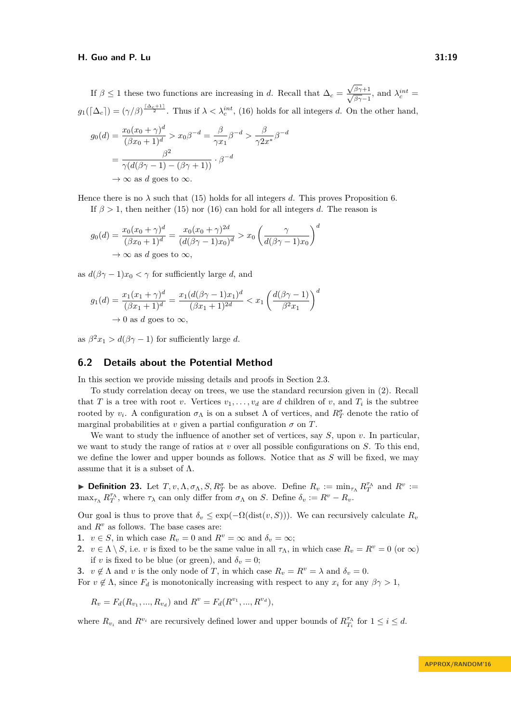If  $\beta \leq 1$  these two functions are increasing in *d*. Recall that  $\Delta_c =$  $\frac{\sqrt{\beta\gamma}+1}{\sqrt{\beta\gamma}-1}$ , and  $\lambda_c^{int}$  =  $g_1(\lceil \Delta_c \rceil) = (\gamma/\beta)^{\frac{\lceil \Delta_c + 1 \rceil}{2}}$ . Thus if  $\lambda < \lambda_c^{int}$ , [\(16\)](#page-17-1) holds for all integers *d*. On the other hand,

$$
g_0(d) = \frac{x_0(x_0 + \gamma)^d}{(\beta x_0 + 1)^d} > x_0 \beta^{-d} = \frac{\beta}{\gamma x_1} \beta^{-d} > \frac{\beta}{\gamma 2x^*} \beta^{-d}
$$

$$
= \frac{\beta^2}{\gamma(d(\beta \gamma - 1) - (\beta \gamma + 1))} \cdot \beta^{-d}
$$

$$
\to \infty \text{ as } d \text{ goes to } \infty.
$$

Hence there is no  $\lambda$  such that [\(15\)](#page-17-0) holds for all integers *d*. This proves Proposition [6.](#page-6-1)

If  $\beta > 1$ , then neither [\(15\)](#page-17-0) nor [\(16\)](#page-17-1) can hold for all integers *d*. The reason is

$$
g_0(d) = \frac{x_0(x_0 + \gamma)^d}{(\beta x_0 + 1)^d} = \frac{x_0(x_0 + \gamma)^{2d}}{(d(\beta \gamma - 1)x_0)^d} > x_0 \left(\frac{\gamma}{d(\beta \gamma - 1)x_0}\right)^d
$$
  
 $\to \infty$  as d goes to  $\infty$ ,

as  $d(\beta \gamma - 1)x_0 < \gamma$  for sufficiently large *d*, and

$$
g_1(d) = \frac{x_1(x_1 + \gamma)^d}{(\beta x_1 + 1)^d} = \frac{x_1(d(\beta \gamma - 1)x_1)^d}{(\beta x_1 + 1)^{2d}} < x_1 \left(\frac{d(\beta \gamma - 1)}{\beta^2 x_1}\right)^d
$$
  
\n
$$
\rightarrow 0 \text{ as } d \text{ goes to } \infty,
$$

as  $\beta^2 x_1 > d(\beta \gamma - 1)$  for sufficiently large *d*.

## <span id="page-18-0"></span>**6.2 Details about the Potential Method**

In this section we provide missing details and proofs in Section [2.3.](#page-6-3)

To study correlation decay on trees, we use the standard recursion given in [\(2\)](#page-5-0). Recall that *T* is a tree with root *v*. Vertices  $v_1, \ldots, v_d$  are *d* children of *v*, and  $T_i$  is the subtree rooted by  $v_i$ . A configuration  $\sigma_\Lambda$  is on a subset  $\Lambda$  of vertices, and  $R_T^{\sigma}$  denote the ratio of marginal probabilities at *v* given a partial configuration  $\sigma$  on  $T$ .

We want to study the influence of another set of vertices, say *S*, upon *v*. In particular, we want to study the range of ratios at *v* over all possible configurations on *S*. To this end, we define the lower and upper bounds as follows. Notice that as *S* will be fixed, we may assume that it is a subset of  $\Lambda$ .

<span id="page-18-1"></span>► **Definition 23.** Let  $T, v, \Lambda, \sigma_\Lambda, S, R_T^{\sigma}$  be as above. Define  $R_v := \min_{\tau_{\Lambda}} R_T^{\tau_{\Lambda}}$  and  $R^v :=$  $\max_{\tau_{\Lambda}} R_{T}^{\tau_{\Lambda}}$ , where  $\tau_{\lambda}$  can only differ from  $\sigma_{\Lambda}$  on *S*. Define  $\delta_{v} := R^{v} - R_{v}$ .

Our goal is thus to prove that  $\delta_v \leq \exp(-\Omega(\text{dist}(v, S)))$ . We can recursively calculate  $R_v$ and  $R^v$  as follows. The base cases are:

**1.**  $v \in S$ , in which case  $R_v = 0$  and  $R^v = \infty$  and  $\delta_v = \infty$ ;

**2.**  $v \in \Lambda \setminus S$ , i.e. *v* is fixed to be the same value in all  $\tau_{\Lambda}$ , in which case  $R_v = R^v = 0$  (or  $\infty$ ) if *v* is fixed to be blue (or green), and  $\delta_v = 0$ ;

**3.**  $v \notin \Lambda$  and *v* is the only node of *T*, in which case  $R_v = R^v = \lambda$  and  $\delta_v = 0$ . For  $v \notin \Lambda$ , since  $F_d$  is monotonically increasing with respect to any  $x_i$  for any  $\beta \gamma > 1$ ,

$$
R_v = F_d(R_{v_1}, ..., R_{v_d})
$$
 and  $R^v = F_d(R^{v_1}, ..., R^{v_d})$ ,

where  $R_{v_i}$  and  $R^{v_i}$  are recursively defined lower and upper bounds of  $R_{T_i}^{\tau_{\Lambda}}$  for  $1 \leq i \leq d$ .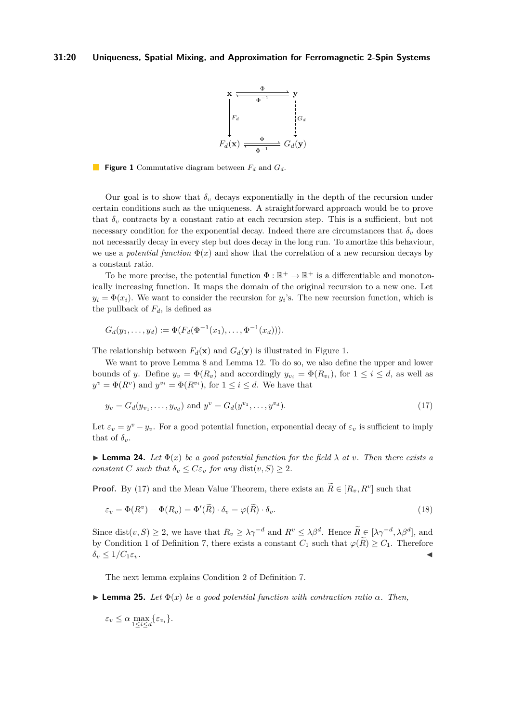

<span id="page-19-0"></span>**Figure 1** Commutative diagram between *F<sup>d</sup>* and *Gd*.

Our goal is to show that  $\delta_v$  decays exponentially in the depth of the recursion under certain conditions such as the uniqueness. A straightforward approach would be to prove that  $\delta_v$  contracts by a constant ratio at each recursion step. This is a sufficient, but not necessary condition for the exponential decay. Indeed there are circumstances that  $\delta_v$  does not necessarily decay in every step but does decay in the long run. To amortize this behaviour, we use a *potential function*  $\Phi(x)$  and show that the correlation of a new recursion decays by a constant ratio.

To be more precise, the potential function  $\Phi : \mathbb{R}^+ \to \mathbb{R}^+$  is a differentiable and monotonically increasing function. It maps the domain of the original recursion to a new one. Let  $y_i = \Phi(x_i)$ . We want to consider the recursion for  $y_i$ 's. The new recursion function, which is the pullback of  $F_d$ , is defined as

$$
G_d(y_1,\ldots,y_d):=\Phi(F_d(\Phi^{-1}(x_1),\ldots,\Phi^{-1}(x_d))).
$$

The relationship between  $F_d(\mathbf{x})$  and  $G_d(\mathbf{y})$  is illustrated in Figure [1.](#page-19-0)

We want to prove Lemma [8](#page-7-0) and Lemma [12.](#page-8-2) To do so, we also define the upper and lower bounds of *y*. Define  $y_v = \Phi(R_v)$  and accordingly  $y_{v_i} = \Phi(R_{v_i})$ , for  $1 \le i \le d$ , as well as  $y^v = \Phi(R^v)$  and  $y^{v_i} = \Phi(R^{v_i})$ , for  $1 \leq i \leq d$ . We have that

<span id="page-19-1"></span>
$$
y_v = G_d(y_{v_1}, \dots, y_{v_d}) \text{ and } y^v = G_d(y^{v_1}, \dots, y^{v_d}).
$$
\n(17)

Let  $\varepsilon_v = y^v - y_v$ . For a good potential function, exponential decay of  $\varepsilon_v$  is sufficient to imply that of  $\delta_{\nu}$ .

<span id="page-19-4"></span>**Lemma 24.** Let  $\Phi(x)$  be a good potential function for the field  $\lambda$  at *v*. Then there exists a *constant C such that*  $\delta_v \leq C \varepsilon_v$  *for any* dist $(v, S) \geq 2$ *.* 

**Proof.** By [\(17\)](#page-19-1) and the Mean Value Theorem, there exists an  $R \in [R_v, R^v]$  such that

<span id="page-19-3"></span>
$$
\varepsilon_v = \Phi(R^v) - \Phi(R_v) = \Phi'(\tilde{R}) \cdot \delta_v = \varphi(\tilde{R}) \cdot \delta_v.
$$
\n(18)

Since dist $(v, S) \geq 2$ , we have that  $R_v \geq \lambda \gamma^{-d}$  and  $R^v \leq \lambda \beta^d$ . Hence  $\widetilde{R} \in [\lambda \gamma^{-d}, \lambda \beta^d]$ , and by Condition [1](#page-7-2) of Definition [7,](#page-7-1) there exists a constant  $C_1$  such that  $\varphi(\widetilde{R}) \geq C_1$ . Therefore  $\delta_v \leq 1/C_1 \varepsilon_v$ .

The next lemma explains Condition [2](#page-7-3) of Definition [7.](#page-7-1)

<span id="page-19-2"></span>**Lemma 25.** *Let*  $\Phi(x)$  *be a good potential function with contraction ratio*  $\alpha$ *. Then,* 

 $\varepsilon_v \leq \alpha \max_{1 \leq i \leq d} \{\varepsilon_{v_i}\}.$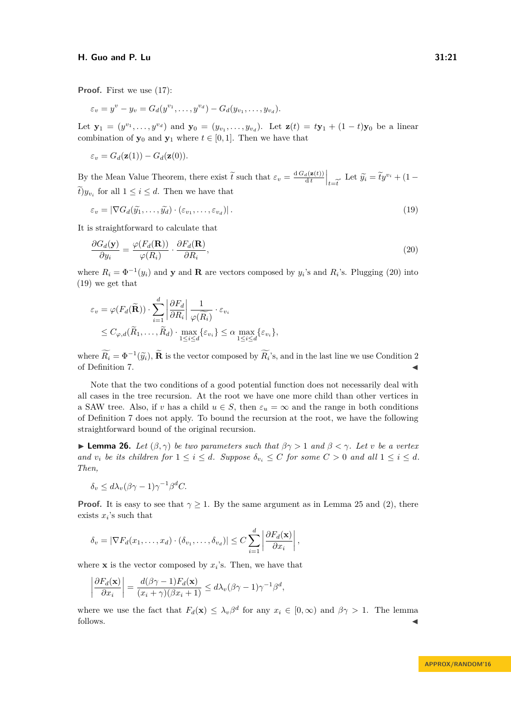**Proof.** First we use [\(17\)](#page-19-1):

$$
\varepsilon_v = y^v - y_v = G_d(y^{v_1}, \dots, y^{v_d}) - G_d(y_{v_1}, \dots, y_{v_d}).
$$

Let  $\mathbf{y}_1 = (y^{v_1}, \dots, y^{v_d})$  and  $\mathbf{y}_0 = (y_{v_1}, \dots, y_{v_d})$ . Let  $\mathbf{z}(t) = t\mathbf{y}_1 + (1-t)\mathbf{y}_0$  be a linear combination of  $y_0$  and  $y_1$  where  $t \in [0, 1]$ . Then we have that

$$
\varepsilon_v = G_d(\mathbf{z}(1)) - G_d(\mathbf{z}(0)).
$$

By the Mean Value Theorem, there exist  $\tilde{t}$  such that  $\varepsilon_v = \frac{d G_d(\mathbf{z}(t))}{dt}\Big|_{t=\tilde{t}}$ . Let  $\tilde{y}_i = \tilde{t}y^{v_i} + (1-\tilde{t})y_v$ , for all  $1 \leq i \leq d$ . Then we have that  $\hat{t}$ )*y*<sub>*vi*</sub> for all  $1 \leq i \leq d$ . Then we have that

<span id="page-20-1"></span>
$$
\varepsilon_v = |\nabla G_d(\widetilde{y}_1, \dots, \widetilde{y}_d) \cdot (\varepsilon_{v_1}, \dots, \varepsilon_{v_d})|.
$$
\n(19)

It is straightforward to calculate that

<span id="page-20-0"></span>
$$
\frac{\partial G_d(\mathbf{y})}{\partial y_i} = \frac{\varphi(F_d(\mathbf{R}))}{\varphi(R_i)} \cdot \frac{\partial F_d(\mathbf{R})}{\partial R_i},\tag{20}
$$

where  $R_i = \Phi^{-1}(y_i)$  and **y** and **R** are vectors composed by  $y_i$ 's and  $R_i$ 's. Plugging [\(20\)](#page-20-0) into [\(19\)](#page-20-1) we get that

$$
\varepsilon_v = \varphi(F_d(\widetilde{\mathbf{R}})) \cdot \sum_{i=1}^d \left| \frac{\partial F_d}{\partial R_i} \right| \frac{1}{\varphi(\widetilde{R_i})} \cdot \varepsilon_{v_i}
$$
  
\n
$$
\leq C_{\varphi,d}(\widetilde{R}_1, \dots, \widetilde{R}_d) \cdot \max_{1 \leq i \leq d} \{\varepsilon_{v_i}\} \leq \alpha \max_{1 \leq i \leq d} \{\varepsilon_{v_i}\},
$$

where  $\hat{R}_i = \Phi^{-1}(\tilde{y}_i)$ ,  $\tilde{\mathbf{R}}$  is the vector composed by  $\hat{R}_i$ 's, and in the last line we use Condition [2](#page-7-3) of Definition [7.](#page-7-1) J

Note that the two conditions of a good potential function does not necessarily deal with all cases in the tree recursion. At the root we have one more child than other vertices in a SAW tree. Also, if *v* has a child  $u \in S$ , then  $\varepsilon_u = \infty$  and the range in both conditions of Definition [7](#page-7-1) does not apply. To bound the recursion at the root, we have the following straightforward bound of the original recursion.

<span id="page-20-2"></span>**I Lemma 26.** Let  $(\beta, \gamma)$  be two parameters such that  $\beta\gamma > 1$  and  $\beta < \gamma$ . Let v be a vertex *and*  $v_i$  *be its children for*  $1 \leq i \leq d$ *. Suppose*  $\delta_{v_i} \leq C$  *for some*  $C > 0$  *and all*  $1 \leq i \leq d$ *. Then,*

$$
\delta_v \le d\lambda_v (\beta \gamma - 1)\gamma^{-1} \beta^d C.
$$

**Proof.** It is easy to see that  $\gamma \geq 1$ . By the same argument as in Lemma [25](#page-19-2) and [\(2\)](#page-5-0), there exists  $x_i$ 's such that

$$
\delta_v = |\nabla F_d(x_1,\ldots,x_d)\cdot(\delta_{v_1},\ldots,\delta_{v_d})| \leq C \sum_{i=1}^d \left|\frac{\partial F_d(\mathbf{x})}{\partial x_i}\right|,
$$

where **x** is the vector composed by  $x_i$ 's. Then, we have that

$$
\left|\frac{\partial F_d(\mathbf{x})}{\partial x_i}\right| = \frac{d(\beta\gamma - 1)F_d(\mathbf{x})}{(x_i + \gamma)(\beta x_i + 1)} \leq d\lambda_v(\beta\gamma - 1)\gamma^{-1}\beta^d,
$$

where we use the fact that  $F_d(\mathbf{x}) \leq \lambda_v \beta^d$  for any  $x_i \in [0, \infty)$  and  $\beta \gamma > 1$ . The lemma follows.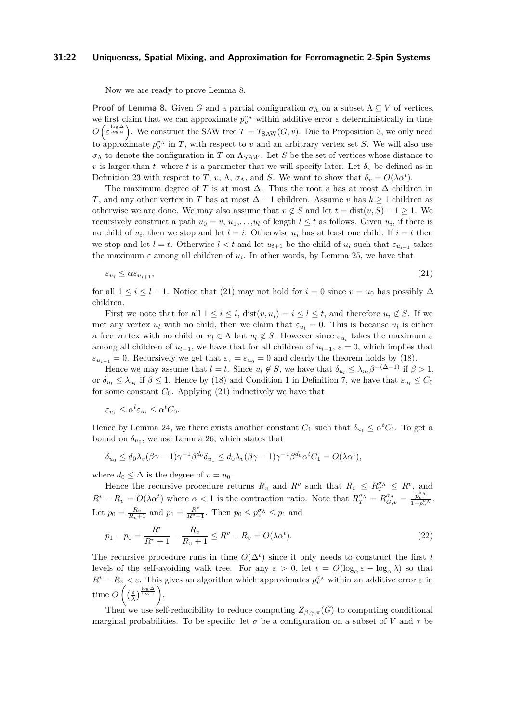#### **31:22 Uniqueness, Spatial Mixing, and Approximation for Ferromagnetic 2-Spin Systems**

Now we are ready to prove Lemma [8.](#page-7-0)

**Proof of Lemma [8.](#page-7-0)** Given *G* and a partial configuration  $\sigma_{\Lambda}$  on a subset  $\Lambda \subseteq V$  of vertices, we first claim that we can approximate  $p_v^{\sigma_{\Lambda}}$  within additive error  $\varepsilon$  deterministically in time  $O\left(\varepsilon^{\frac{\log \Delta}{\log \alpha}}\right)$ . We construct the SAW tree  $T = T_{\text{SAW}}(G, v)$ . Due to Proposition [3,](#page-5-2) we only need to approximate  $p_v^{\sigma_{\Lambda}}$  in *T*, with respect to *v* and an arbitrary vertex set *S*. We will also use  $\sigma_{\Lambda}$  to denote the configuration in *T* on  $\Lambda_{SAW}$ . Let *S* be the set of vertices whose distance to *v* is larger than *t*, where *t* is a parameter that we will specify later. Let  $\delta_v$  be defined as in Definition [23](#page-18-1) with respect to *T*, *v*,  $\Lambda$ ,  $\sigma_{\Lambda}$ , and *S*. We want to show that  $\delta_v = O(\lambda \alpha^t)$ .

The maximum degree of *T* is at most  $\Delta$ . Thus the root *v* has at most  $\Delta$  children in *T*, and any other vertex in *T* has at most  $\Delta - 1$  children. Assume *v* has  $k \ge 1$  children as otherwise we are done. We may also assume that  $v \notin S$  and let  $t = \text{dist}(v, S) - 1 \geq 1$ . We recursively construct a path  $u_0 = v$ ,  $u_1, \ldots, u_l$  of length  $l \leq t$  as follows. Given  $u_i$ , if there is no child of  $u_i$ , then we stop and let  $l = i$ . Otherwise  $u_i$  has at least one child. If  $i = t$  then we stop and let  $l = t$ . Otherwise  $l < t$  and let  $u_{i+1}$  be the child of  $u_i$  such that  $\varepsilon_{u_{i+1}}$  takes the maximum  $\varepsilon$  among all children of  $u_i$ . In other words, by Lemma [25,](#page-19-2) we have that

<span id="page-21-0"></span>
$$
\varepsilon_{u_i} \le \alpha \varepsilon_{u_{i+1}},\tag{21}
$$

for all  $1 \leq i \leq l - 1$ . Notice that [\(21\)](#page-21-0) may not hold for  $i = 0$  since  $v = u_0$  has possibly  $\Delta$ children.

First we note that for all  $1 \leq i \leq l$ ,  $dist(v, u_i) = i \leq l \leq t$ , and therefore  $u_i \notin S$ . If we met any vertex  $u_l$  with no child, then we claim that  $\varepsilon_{u_l} = 0$ . This is because  $u_l$  is either a free vertex with no child or  $u_l \in \Lambda$  but  $u_l \notin S$ . However since  $\varepsilon_{u_l}$  takes the maximum  $\varepsilon$ among all children of  $u_{l-1}$ , we have that for all children of  $u_{i-1}$ ,  $\varepsilon = 0$ , which implies that  $\varepsilon_{u_{i-1}} = 0$ . Recursively we get that  $\varepsilon_v = \varepsilon_{u_0} = 0$  and clearly the theorem holds by [\(18\)](#page-19-3).

Hence we may assume that  $l = t$ . Since  $u_l \notin S$ , we have that  $\delta_{u_l} \leq \lambda_{u_l} \beta^{-(\Delta-1)}$  if  $\beta > 1$ , or  $\delta_{u_l} \leq \lambda_{u_l}$  if  $\beta \leq 1$  $\beta \leq 1$ . Hence by [\(18\)](#page-19-3) and Condition 1 in Definition [7,](#page-7-1) we have that  $\varepsilon_{u_l} \leq C_0$ for some constant  $C_0$ . Applying  $(21)$  inductively we have that

$$
\varepsilon_{u_1} \le \alpha^l \varepsilon_{u_l} \le \alpha^t C_0.
$$

Hence by Lemma [24,](#page-19-4) we there exists another constant  $C_1$  such that  $\delta_{u_1} \leq \alpha^t C_1$ . To get a bound on  $\delta_{u_0}$ , we use Lemma [26,](#page-20-2) which states that

$$
\delta_{u_0} \le d_0 \lambda_v (\beta \gamma - 1) \gamma^{-1} \beta^{d_0} \delta_{u_1} \le d_0 \lambda_v (\beta \gamma - 1) \gamma^{-1} \beta^{d_0} \alpha^t C_1 = O(\lambda \alpha^t),
$$

where  $d_0 \leq \Delta$  is the degree of  $v = u_0$ .

Hence the recursive procedure returns  $R_v$  and  $R^v$  such that  $R_v \leq R_T^{\sigma} \leq R^v$ , and  $R^v - R_v = O(\lambda \alpha^t)$  where  $\alpha < 1$  is the contraction ratio. Note that  $R^{\sigma \Lambda}_{T} = R^{\sigma \Lambda}_{G,v} = \frac{p_v^{\sigma \Lambda}}{1 - p_v^{\sigma \Lambda}}$ . Let  $p_0 = \frac{R_v}{R_v + 1}$  and  $p_1 = \frac{R^v}{R^v + 1}$ . Then  $p_0 \le p_v^{\sigma_{\Lambda}} \le p_1$  and

$$
p_1 - p_0 = \frac{R^v}{R^v + 1} - \frac{R_v}{R_v + 1} \le R^v - R_v = O(\lambda \alpha^t).
$$
\n(22)

The recursive procedure runs in time  $O(\Delta^t)$  since it only needs to construct the first *t* levels of the self-avoiding walk tree. For any  $\varepsilon > 0$ , let  $t = O(\log_{\alpha} \varepsilon - \log_{\alpha} \lambda)$  so that  $R^v - R_v < \varepsilon$ . This gives an algorithm which approximates  $p_v^{\sigma_{\Lambda}}$  within an additive error  $\varepsilon$  in time  $O\left(\left(\frac{\varepsilon}{\lambda}\right)^{\frac{\log \Delta}{\log \alpha}}\right)$ .

Then we use self-reducibility to reduce computing  $Z_{\beta,\gamma,\pi}(G)$  to computing conditional marginal probabilities. To be specific, let  $\sigma$  be a configuration on a subset of *V* and  $\tau$  be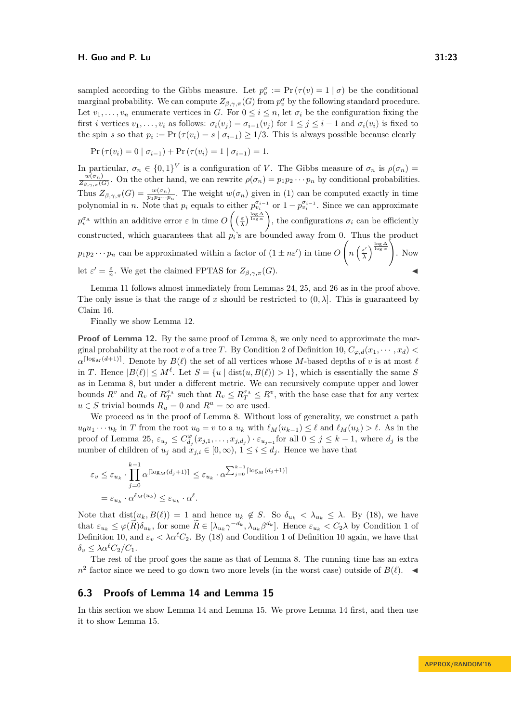sampled according to the Gibbs measure. Let  $p_v^{\sigma} := \Pr(\tau(v) = 1 | \sigma)$  be the conditional marginal probability. We can compute  $Z_{\beta,\gamma,\pi}(G)$  from  $p_v^{\sigma}$  by the following standard procedure. Let  $v_1, \ldots, v_n$  enumerate vertices in *G*. For  $0 \leq i \leq n$ , let  $\sigma_i$  be the configuration fixing the first *i* vertices  $v_1, \ldots, v_i$  as follows:  $\sigma_i(v_j) = \sigma_{i-1}(v_j)$  for  $1 \leq j \leq i-1$  and  $\sigma_i(v_i)$  is fixed to the spin *s* so that  $p_i := \Pr(\tau(v_i) = s \mid \sigma_{i-1}) \geq 1/3$ . This is always possible because clearly

$$
Pr(\tau(v_i) = 0 | \sigma_{i-1}) + Pr(\tau(v_i) = 1 | \sigma_{i-1}) = 1.
$$

In particular,  $\sigma_n \in \{0,1\}^V$  is a configuration of *V*. The Gibbs measure of  $\sigma_n$  is  $\rho(\sigma_n)$  $w(\sigma_n)$  $\frac{w(\sigma_n)}{Z_{\beta,\gamma,\pi}(G)}$ . On the other hand, we can rewrite  $\rho(\sigma_n) = p_1p_2\cdots p_n$  by conditional probabilities. Thus  $Z_{\beta,\gamma,\pi}(G) = \frac{w(\sigma_n)}{p_1 p_2 \cdots p_n}$ . The weight  $w(\sigma_n)$  given in [\(1\)](#page-4-0) can be computed exactly in time polynomial in *n*. Note that  $p_i$  equals to either  $p_{v_i}^{\sigma_{i-1}}$  or  $1 - p_{v_i}^{\sigma_{i-1}}$ . Since we can approximate  $p_v^{\sigma_{\Lambda}}$  within an additive error  $\varepsilon$  in time  $O\left(\left(\frac{\varepsilon}{\lambda}\right)^{\frac{\log \Delta}{\log \alpha}}\right)$ , the configurations  $\sigma_i$  can be efficiently constructed, which guarantees that all  $p_i$ 's are bounded away from 0. Thus the product  $p_1 p_2 \cdots p_n$  can be approximated within a factor of  $(1 \pm n \varepsilon')$  in time *O*  $\sqrt{ }$  $n\left(\frac{\varepsilon'}{2}\right)$  $\frac{\varepsilon'}{\lambda}$   $\left.\begin{array}{c} \frac{\log\Delta}{\log\alpha} \\ \end{array}\right\}$ . Now let  $\varepsilon' = \frac{\varepsilon}{n}$ . We get the claimed FPTAS for  $Z_{\beta,\gamma,\pi}(G)$ .

Lemma [11](#page-8-3) follows almost immediately from Lemmas [24,](#page-19-4) [25,](#page-19-2) and [26](#page-20-2) as in the proof above. The only issue is that the range of *x* should be restricted to  $(0, \lambda]$ . This is guaranteed by Claim [16.](#page-9-1)

Finally we show Lemma [12.](#page-8-2)

**Proof of Lemma [12.](#page-8-2)** By the same proof of Lemma [8,](#page-7-0) we only need to approximate the marginal probability at the root *v* of a tree *T*. By Condition [2](#page-7-6) of Definition [10,](#page-7-4)  $C_{\varphi,d}(x_1, \dots, x_d)$  $\alpha^{\lceil \log_M(d+1) \rceil}$ . Denote by  $B(\ell)$  the set of all vertices whose *M*-based depths of *v* is at most  $\ell$ in *T*. Hence  $|B(\ell)| \leq M^{\ell}$ . Let  $S = \{u \mid \text{dist}(u, B(\ell)) > 1\}$ , which is essentially the same *S* as in Lemma [8,](#page-7-0) but under a different metric. We can recursively compute upper and lower bounds  $R^v$  and  $R_v$  of  $R_T^{\sigma_{\Lambda}}$  such that  $R_v \leq R_T^{\sigma_{\Lambda}} \leq R^v$ , with the base case that for any vertex  $u \in S$  trivial bounds  $R_u = 0$  and  $R^u = \infty$  are used.

We proceed as in the proof of Lemma [8.](#page-7-0) Without loss of generality, we construct a path  $u_0u_1 \cdots u_k$  in *T* from the root  $u_0 = v$  to a  $u_k$  with  $\ell_M(u_{k-1}) \leq \ell$  and  $\ell_M(u_k) > \ell$ . As in the proof of Lemma [25,](#page-19-2)  $\varepsilon_{u_j} \leq C_{d_j}^{\varphi}(x_{j,1},\ldots,x_{j,d_j}) \cdot \varepsilon_{u_{j+1}}$  for all  $0 \leq j \leq k-1$ , where  $d_j$  is the number of children of  $u_j$  and  $x_{j,i} \in [0,\infty)$ ,  $1 \leq i \leq d_j$ . Hence we have that

$$
\varepsilon_v \leq \varepsilon_{u_k} \cdot \prod_{j=0}^{k-1} \alpha^{\lceil \log_M(d_j+1) \rceil} \leq \varepsilon_{u_k} \cdot \alpha^{\sum_{j=0}^{k-1} \lceil \log_M(d_j+1) \rceil}
$$

$$
= \varepsilon_{u_k} \cdot \alpha^{\ell_M(u_k)} \leq \varepsilon_{u_k} \cdot \alpha^{\ell}.
$$

Note that  $dist(u_k, B(\ell)) = 1$  and hence  $u_k \notin S$ . So  $\delta_{u_k} < \lambda_{u_k} \leq \lambda$ . By [\(18\)](#page-19-3), we have that  $\varepsilon_{u_k} \leq \varphi(\tilde{R}) \delta_{u_k}$ , for some  $\tilde{R} \in [\lambda_{u_k} \gamma^{-d_k}, \lambda_{u_k} \beta^{d_k}]$ . Hence  $\varepsilon_{u_k} < C_2 \lambda$  by Condition [1](#page-7-5) of Definition [10,](#page-7-4) and  $\varepsilon_v < \lambda \alpha^{\ell} C_2$ . By [\(18\)](#page-19-3) and Condition [1](#page-7-5) of Definition [10](#page-7-4) again, we have that  $\delta_v \leq \lambda \alpha^{\ell} C_2 / C_1$ .

The rest of the proof goes the same as that of Lemma [8.](#page-7-0) The running time has an extra  $n^2$  factor since we need to go down two more levels (in the worst case) outside of *B*( $\ell$ ).

# <span id="page-22-0"></span>**6.3 Proofs of Lemma [14](#page-9-2) and Lemma [15](#page-9-4)**

In this section we show Lemma [14](#page-9-2) and Lemma [15.](#page-9-4) We prove Lemma [14](#page-9-2) first, and then use it to show Lemma [15.](#page-9-4)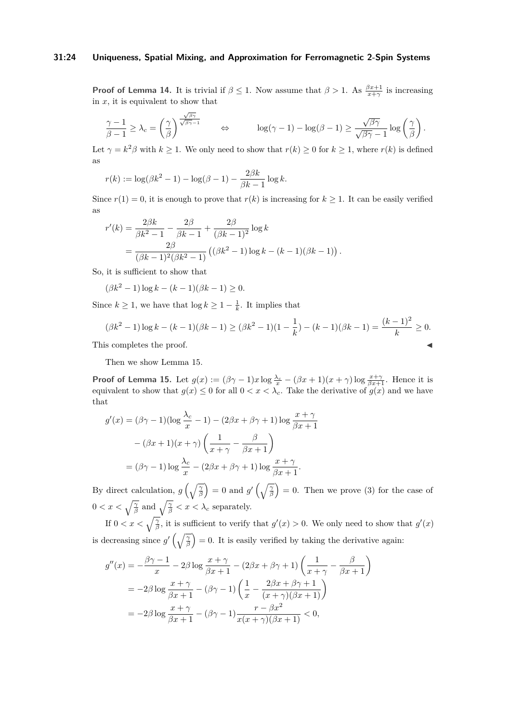#### **31:24 Uniqueness, Spatial Mixing, and Approximation for Ferromagnetic 2-Spin Systems**

**Proof of Lemma [14.](#page-9-2)** It is trivial if  $\beta \leq 1$ . Now assume that  $\beta > 1$ . As  $\frac{\beta x+1}{x+\gamma}$  is increasing in  $x$ , it is equivalent to show that

$$
\frac{\gamma-1}{\beta-1} \geq \lambda_c = \left(\frac{\gamma}{\beta}\right)^{\frac{\sqrt{\beta\gamma}}{\sqrt{\beta\gamma-1}}} \qquad \Leftrightarrow \qquad \log(\gamma-1) - \log(\beta-1) \geq \frac{\sqrt{\beta\gamma}}{\sqrt{\beta\gamma}-1}\log\left(\frac{\gamma}{\beta}\right).
$$

Let  $\gamma = k^2 \beta$  with  $k \ge 1$ . We only need to show that  $r(k) \ge 0$  for  $k \ge 1$ , where  $r(k)$  is defined as

$$
r(k) := \log(\beta k^2 - 1) - \log(\beta - 1) - \frac{2\beta k}{\beta k - 1} \log k.
$$

Since  $r(1) = 0$ , it is enough to prove that  $r(k)$  is increasing for  $k \geq 1$ . It can be easily verified as

*.*

$$
r'(k) = \frac{2\beta k}{\beta k^2 - 1} - \frac{2\beta}{\beta k - 1} + \frac{2\beta}{(\beta k - 1)^2} \log k
$$
  
= 
$$
\frac{2\beta}{(\beta k - 1)^2(\beta k^2 - 1)} ((\beta k^2 - 1) \log k - (k - 1)(\beta k - 1))
$$

So, it is sufficient to show that

$$
(\beta k^2 - 1) \log k - (k - 1)(\beta k - 1) \ge 0.
$$

Since  $k \geq 1$ , we have that  $\log k \geq 1 - \frac{1}{k}$ . It implies that

$$
(\beta k^2 - 1) \log k - (k - 1)(\beta k - 1) \ge (\beta k^2 - 1)(1 - \frac{1}{k}) - (k - 1)(\beta k - 1) = \frac{(k - 1)^2}{k} \ge 0.
$$
  
This completes the proof.

Then we show Lemma [15.](#page-9-4)

**Proof of Lemma [15.](#page-9-4)** Let  $g(x) := (\beta\gamma - 1)x \log \frac{\lambda_c}{x} - (\beta x + 1)(x + \gamma) \log \frac{x + \gamma}{\beta x + 1}$ . Hence it is equivalent to show that  $g(x) \leq 0$  for all  $0 < x < \lambda_c$ . Take the derivative of  $g(x)$  and we have that

$$
g'(x) = (\beta \gamma - 1)(\log \frac{\lambda_c}{x} - 1) - (2\beta x + \beta \gamma + 1) \log \frac{x + \gamma}{\beta x + 1}
$$

$$
- (\beta x + 1)(x + \gamma) \left(\frac{1}{x + \gamma} - \frac{\beta}{\beta x + 1}\right)
$$

$$
= (\beta \gamma - 1) \log \frac{\lambda_c}{x} - (2\beta x + \beta \gamma + 1) \log \frac{x + \gamma}{\beta x + 1}.
$$

By direct calculation,  $g\left(\sqrt{\frac{\gamma}{\beta}}\right) = 0$  and  $g'\left(\sqrt{\frac{\gamma}{\beta}}\right) = 0$ . Then we prove [\(3\)](#page-9-5) for the case of  $0 < x < \sqrt{\frac{\gamma}{\beta}}$  and  $\sqrt{\frac{\gamma}{\beta}} < x < \lambda_c$  separately.

If  $0 < x < \sqrt{\frac{\gamma}{\beta}}$ , it is sufficient to verify that  $g'(x) > 0$ . We only need to show that  $g'(x)$ is decreasing since  $g'(\sqrt{\frac{\gamma}{\beta}})=0$ . It is easily verified by taking the derivative again:

$$
g''(x) = -\frac{\beta\gamma - 1}{x} - 2\beta \log \frac{x + \gamma}{\beta x + 1} - (2\beta x + \beta \gamma + 1) \left(\frac{1}{x + \gamma} - \frac{\beta}{\beta x + 1}\right)
$$
  
= 
$$
-2\beta \log \frac{x + \gamma}{\beta x + 1} - (\beta \gamma - 1) \left(\frac{1}{x} - \frac{2\beta x + \beta \gamma + 1}{(x + \gamma)(\beta x + 1)}\right)
$$
  
= 
$$
-2\beta \log \frac{x + \gamma}{\beta x + 1} - (\beta \gamma - 1) \frac{r - \beta x^2}{x(x + \gamma)(\beta x + 1)} < 0,
$$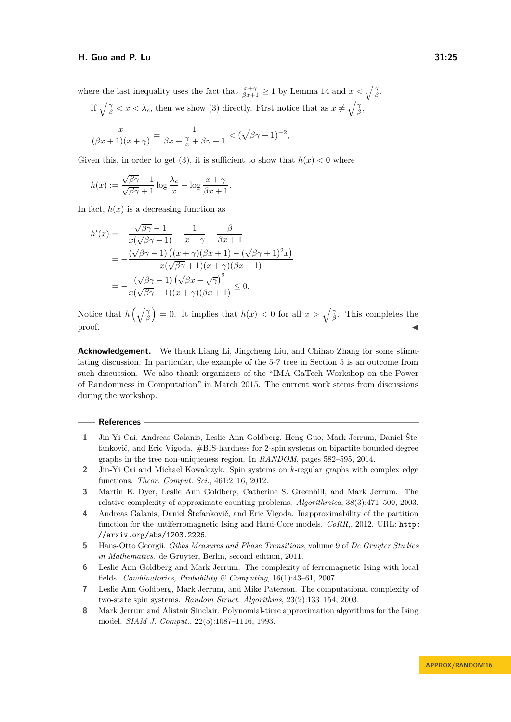where the last inequality uses the fact that  $\frac{x+\gamma}{\beta x+1} \geq 1$  by Lemma [14](#page-9-2) and  $x < \sqrt{\frac{\gamma}{\beta}}$ .

If 
$$
\sqrt{\frac{\gamma}{\beta}} < x < \lambda_c
$$
, then we show (3) directly. First notice that as  $x \neq \sqrt{\frac{\gamma}{\beta}}$ ,

*.*

$$
\frac{x}{(\beta x+1)(x+\gamma)} = \frac{1}{\beta x + \frac{\gamma}{x} + \beta \gamma + 1} < (\sqrt{\beta \gamma} + 1)^{-2},
$$

Given this, in order to get [\(3\)](#page-9-5), it is sufficient to show that  $h(x) < 0$  where

$$
h(x) := \frac{\sqrt{\beta\gamma} - 1}{\sqrt{\beta\gamma} + 1} \log \frac{\lambda_c}{x} - \log \frac{x + \gamma}{\beta x + 1}
$$

In fact,  $h(x)$  is a decreasing function as

$$
h'(x) = -\frac{\sqrt{\beta\gamma} - 1}{x(\sqrt{\beta\gamma} + 1)} - \frac{1}{x + \gamma} + \frac{\beta}{\beta x + 1}
$$
  
= 
$$
-\frac{(\sqrt{\beta\gamma} - 1) ((x + \gamma)(\beta x + 1) - (\sqrt{\beta\gamma} + 1)^2 x)}{x(\sqrt{\beta\gamma} + 1)(x + \gamma)(\beta x + 1)}
$$
  
= 
$$
-\frac{(\sqrt{\beta\gamma} - 1) (\sqrt{\beta x} - \sqrt{\gamma})^2}{x(\sqrt{\beta\gamma} + 1)(x + \gamma)(\beta x + 1)} \le 0.
$$

Notice that  $h\left(\sqrt{\frac{\gamma}{\beta}}\right) = 0$ . It implies that  $h(x) < 0$  for all  $x > \sqrt{\frac{\gamma}{\beta}}$ . This completes the  $\blacksquare$ proof.

**Acknowledgement.** We thank Liang Li, Jingcheng Liu, and Chihao Zhang for some stimulating discussion. In particular, the example of the 5-7 tree in Section [5](#page-15-0) is an outcome from such discussion. We also thank organizers of the "IMA-GaTech Workshop on the Power of Randomness in Computation" in March 2015. The current work stems from discussions during the workshop.

#### **References**

- <span id="page-24-4"></span>**1** Jin-Yi Cai, Andreas Galanis, Leslie Ann Goldberg, Heng Guo, Mark Jerrum, Daniel Štefankovič, and Eric Vigoda. #BIS-hardness for 2-spin systems on bipartite bounded degree graphs in the tree non-uniqueness region. In *RANDOM*, pages 582–595, 2014.
- <span id="page-24-6"></span>**2** Jin-Yi Cai and Michael Kowalczyk. Spin systems on *k*-regular graphs with complex edge functions. *Theor. Comput. Sci.*, 461:2–16, 2012.
- <span id="page-24-3"></span>**3** Martin E. Dyer, Leslie Ann Goldberg, Catherine S. Greenhill, and Mark Jerrum. The relative complexity of approximate counting problems. *Algorithmica*, 38(3):471–500, 2003.
- <span id="page-24-1"></span>**4** Andreas Galanis, Daniel Štefankovič, and Eric Vigoda. Inapproximability of the partition function for the antiferromagnetic Ising and Hard-Core models. *CoRR,*, 2012. URL: [http:](http://arxiv.org/abs/1203.2226) [//arxiv.org/abs/1203.2226](http://arxiv.org/abs/1203.2226).
- <span id="page-24-7"></span>**5** Hans-Otto Georgii. *Gibbs Measures and Phase Transitions*, volume 9 of *De Gruyter Studies in Mathematics*. de Gruyter, Berlin, second edition, 2011.
- <span id="page-24-2"></span>**6** Leslie Ann Goldberg and Mark Jerrum. The complexity of ferromagnetic Ising with local fields. *Combinatorics, Probability & Computing*, 16(1):43–61, 2007.
- <span id="page-24-5"></span>**7** Leslie Ann Goldberg, Mark Jerrum, and Mike Paterson. The computational complexity of two-state spin systems. *Random Struct. Algorithms*, 23(2):133–154, 2003.
- <span id="page-24-0"></span>**8** Mark Jerrum and Alistair Sinclair. Polynomial-time approximation algorithms for the Ising model. *SIAM J. Comput.*, 22(5):1087–1116, 1993.